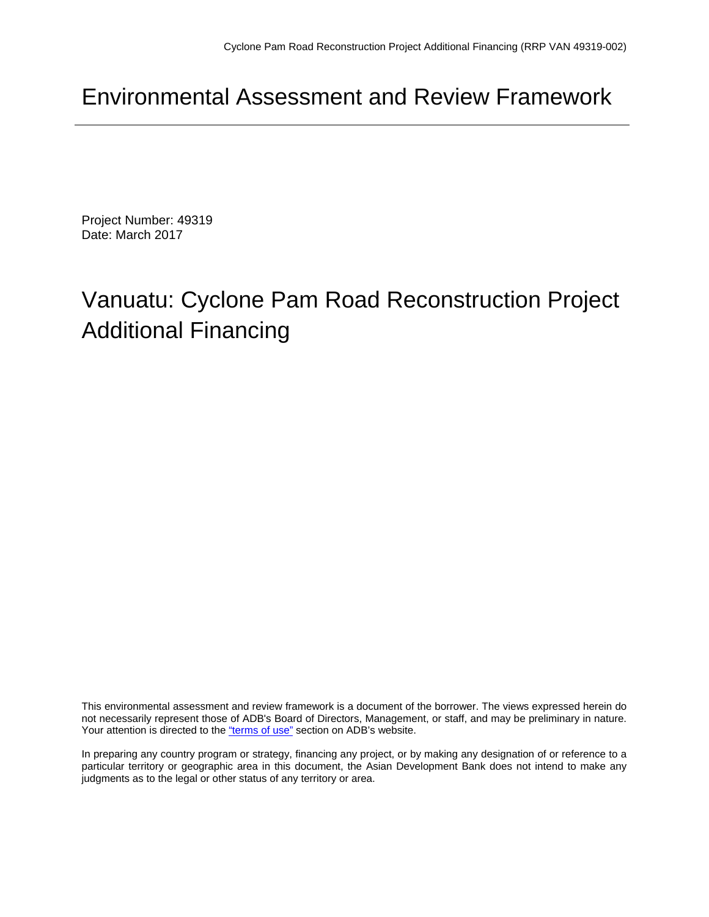# Environmental Assessment and Review Framework

Project Number: 49319 Date: March 2017

# Vanuatu: Cyclone Pam Road Reconstruction Project Additional Financing

This environmental assessment and review framework is a document of the borrower. The views expressed herein do not necessarily represent those of ADB's Board of Directors, Management, or staff, and may be preliminary in nature. Your attention is directed to the "terms of use" section on ADB's website.

In preparing any country program or strategy, financing any project, or by making any designation of or reference to a particular territory or geographic area in this document, the Asian Development Bank does not intend to make any judgments as to the legal or other status of any territory or area.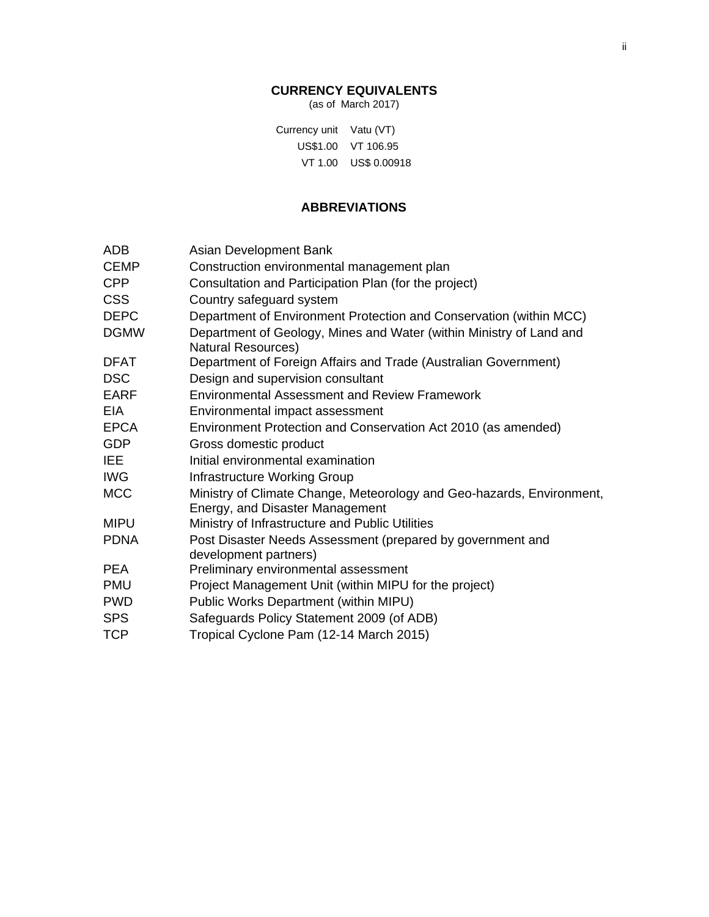#### **CURRENCY EQUIVALENTS**

(as of March 2017)

Currency unit Vatu (VT) US\$1.00 VT 106.95 VT 1.00 US\$ 0.00918

### **ABBREVIATIONS**

| ADB         | Asian Development Bank                                                                                   |
|-------------|----------------------------------------------------------------------------------------------------------|
| <b>CEMP</b> | Construction environmental management plan                                                               |
| <b>CPP</b>  | Consultation and Participation Plan (for the project)                                                    |
| <b>CSS</b>  | Country safeguard system                                                                                 |
| <b>DEPC</b> | Department of Environment Protection and Conservation (within MCC)                                       |
| <b>DGMW</b> | Department of Geology, Mines and Water (within Ministry of Land and                                      |
|             | <b>Natural Resources)</b>                                                                                |
| <b>DFAT</b> | Department of Foreign Affairs and Trade (Australian Government)                                          |
| <b>DSC</b>  | Design and supervision consultant                                                                        |
| <b>EARF</b> | <b>Environmental Assessment and Review Framework</b>                                                     |
| EIA         | Environmental impact assessment                                                                          |
| <b>EPCA</b> | Environment Protection and Conservation Act 2010 (as amended)                                            |
| GDP         | Gross domestic product                                                                                   |
| <b>IEE</b>  | Initial environmental examination                                                                        |
| <b>IWG</b>  | Infrastructure Working Group                                                                             |
| <b>MCC</b>  | Ministry of Climate Change, Meteorology and Geo-hazards, Environment,<br>Energy, and Disaster Management |
| <b>MIPU</b> | Ministry of Infrastructure and Public Utilities                                                          |
| <b>PDNA</b> | Post Disaster Needs Assessment (prepared by government and<br>development partners)                      |
| <b>PEA</b>  | Preliminary environmental assessment                                                                     |
| PMU         | Project Management Unit (within MIPU for the project)                                                    |
| <b>PWD</b>  | Public Works Department (within MIPU)                                                                    |
| <b>SPS</b>  | Safeguards Policy Statement 2009 (of ADB)                                                                |
| <b>TCP</b>  | Tropical Cyclone Pam (12-14 March 2015)                                                                  |
|             |                                                                                                          |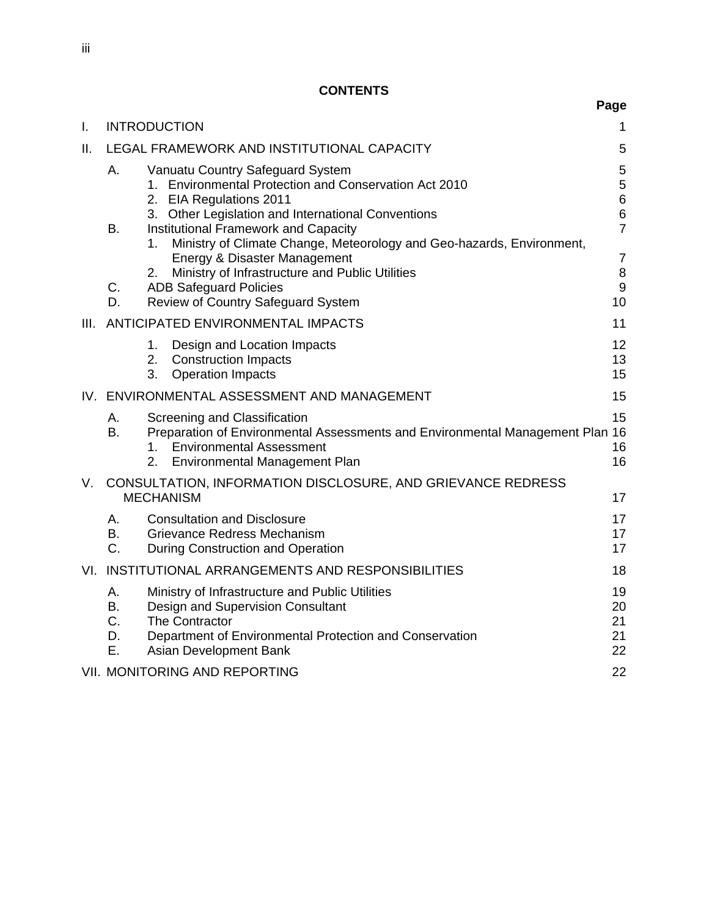|      |                                   |                |                                                                                                                                                                                             | Page                                          |
|------|-----------------------------------|----------------|---------------------------------------------------------------------------------------------------------------------------------------------------------------------------------------------|-----------------------------------------------|
| L.   | <b>INTRODUCTION</b>               |                |                                                                                                                                                                                             | 1                                             |
| Ⅱ.   |                                   |                | LEGAL FRAMEWORK AND INSTITUTIONAL CAPACITY                                                                                                                                                  | 5                                             |
|      | A.                                |                | Vanuatu Country Safeguard System<br>1. Environmental Protection and Conservation Act 2010<br>2. EIA Regulations 2011<br>3. Other Legislation and International Conventions                  | $\mathbf 5$<br>5<br>$\overline{6}$<br>$\,6\,$ |
|      | B.                                | 1.             | <b>Institutional Framework and Capacity</b><br>Ministry of Climate Change, Meteorology and Geo-hazards, Environment,<br>Energy & Disaster Management                                        | $\overline{7}$<br>$\overline{7}$              |
|      | C.<br>D.                          | 2.             | Ministry of Infrastructure and Public Utilities<br><b>ADB Safeguard Policies</b><br>Review of Country Safeguard System                                                                      | 8<br>9<br>10                                  |
| III. |                                   |                | ANTICIPATED ENVIRONMENTAL IMPACTS                                                                                                                                                           | 11                                            |
|      |                                   | 1.<br>2.<br>3. | Design and Location Impacts<br><b>Construction Impacts</b><br><b>Operation Impacts</b>                                                                                                      | 12<br>13<br>15                                |
|      |                                   |                | IV. ENVIRONMENTAL ASSESSMENT AND MANAGEMENT                                                                                                                                                 | 15                                            |
|      | Α.<br><b>B.</b>                   | 1.<br>2.       | Screening and Classification<br>Preparation of Environmental Assessments and Environmental Management Plan 16<br><b>Environmental Assessment</b><br>Environmental Management Plan           | 15<br>16<br>16                                |
| V.   |                                   |                | CONSULTATION, INFORMATION DISCLOSURE, AND GRIEVANCE REDRESS<br><b>MECHANISM</b>                                                                                                             | 17                                            |
|      | A.<br><b>B.</b><br>C.             |                | <b>Consultation and Disclosure</b><br>Grievance Redress Mechanism<br>During Construction and Operation                                                                                      | 17<br>17<br>17                                |
| VI.  |                                   |                | INSTITUTIONAL ARRANGEMENTS AND RESPONSIBILITIES                                                                                                                                             | 18                                            |
|      | Α.<br><b>B.</b><br>C.<br>D.<br>Ε. |                | Ministry of Infrastructure and Public Utilities<br>Design and Supervision Consultant<br>The Contractor<br>Department of Environmental Protection and Conservation<br>Asian Development Bank | 19<br>20<br>21<br>21<br>22                    |
|      |                                   |                | <b>VII. MONITORING AND REPORTING</b>                                                                                                                                                        | 22                                            |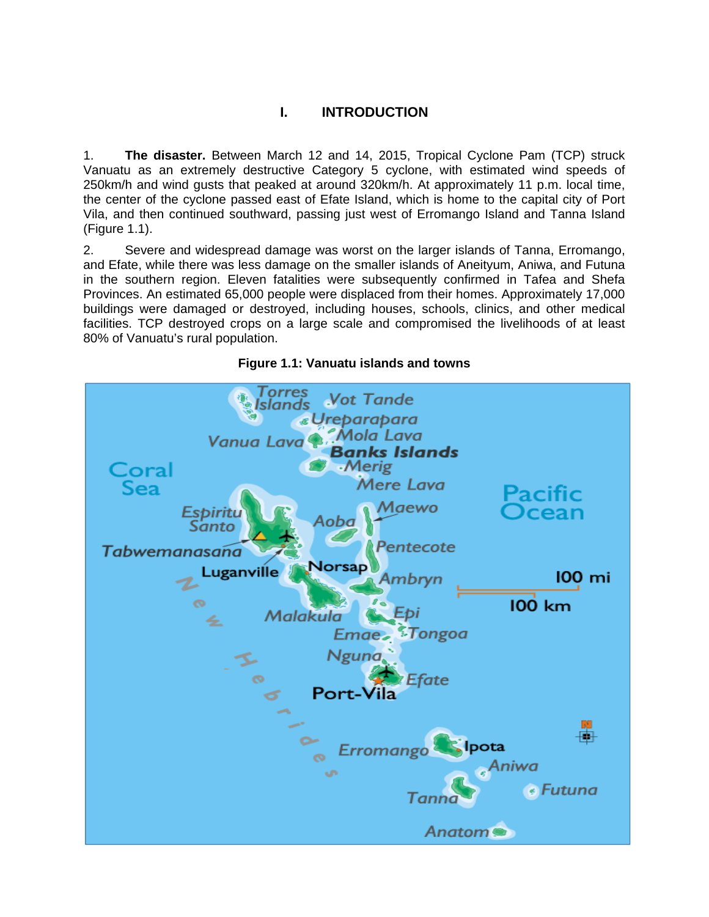### **I. INTRODUCTION**

1. **The disaster.** Between March 12 and 14, 2015, Tropical Cyclone Pam (TCP) struck Vanuatu as an extremely destructive Category 5 cyclone, with estimated wind speeds of 250km/h and wind gusts that peaked at around 320km/h. At approximately 11 p.m. local time, the center of the cyclone passed east of Efate Island, which is home to the capital city of Port Vila, and then continued southward, passing just west of Erromango Island and Tanna Island (Figure 1.1).

2. Severe and widespread damage was worst on the larger islands of Tanna, Erromango, and Efate, while there was less damage on the smaller islands of Aneityum, Aniwa, and Futuna in the southern region. Eleven fatalities were subsequently confirmed in Tafea and Shefa Provinces. An estimated 65,000 people were displaced from their homes. Approximately 17,000 buildings were damaged or destroyed, including houses, schools, clinics, and other medical facilities. TCP destroyed crops on a large scale and compromised the livelihoods of at least 80% of Vanuatu's rural population.



#### **Figure 1.1: Vanuatu islands and towns**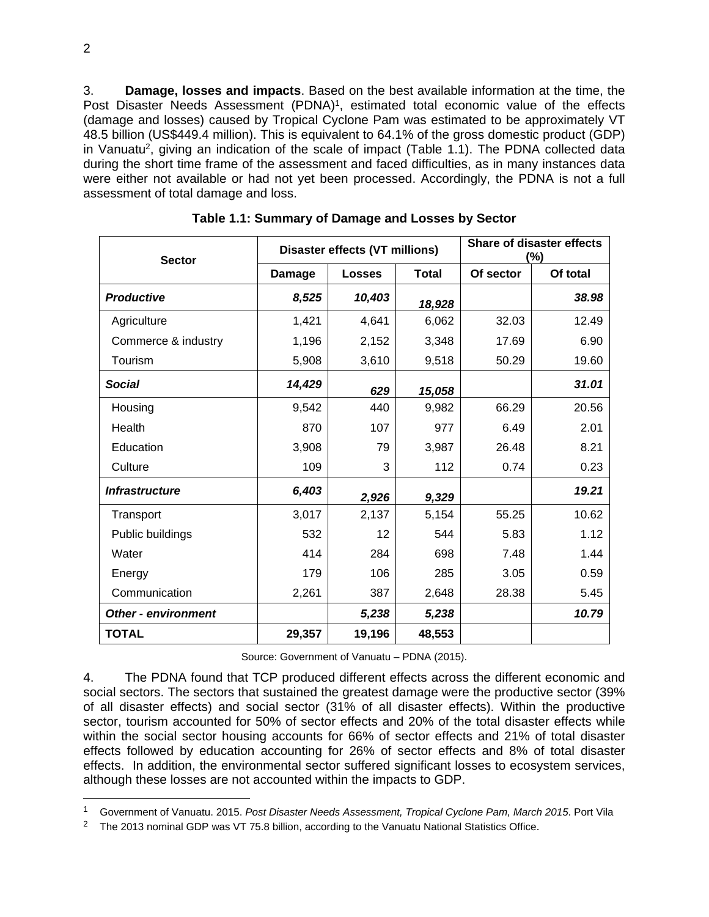3. **Damage, losses and impacts**. Based on the best available information at the time, the Post Disaster Needs Assessment (PDNA)<sup>1</sup>, estimated total economic value of the effects (damage and losses) caused by Tropical Cyclone Pam was estimated to be approximately VT 48.5 billion (US\$449.4 million). This is equivalent to 64.1% of the gross domestic product (GDP) in Vanuatu<sup>2</sup>, giving an indication of the scale of impact (Table 1.1). The PDNA collected data during the short time frame of the assessment and faced difficulties, as in many instances data were either not available or had not yet been processed. Accordingly, the PDNA is not a full assessment of total damage and loss.

| <b>Sector</b>              | <b>Disaster effects (VT millions)</b> |               |              | <b>Share of disaster effects</b><br>(%) |          |
|----------------------------|---------------------------------------|---------------|--------------|-----------------------------------------|----------|
|                            | Damage                                | <b>Losses</b> | <b>Total</b> | Of sector                               | Of total |
| <b>Productive</b>          | 8,525                                 | 10,403        | 18,928       |                                         | 38.98    |
| Agriculture                | 1,421                                 | 4,641         | 6,062        | 32.03                                   | 12.49    |
| Commerce & industry        | 1,196                                 | 2,152         | 3,348        | 17.69                                   | 6.90     |
| Tourism                    | 5,908                                 | 3,610         | 9,518        | 50.29                                   | 19.60    |
| <b>Social</b>              | 14,429                                | 629           | 15,058       |                                         | 31.01    |
| Housing                    | 9,542                                 | 440           | 9,982        | 66.29                                   | 20.56    |
| Health                     | 870                                   | 107           | 977          | 6.49                                    | 2.01     |
| Education                  | 3,908                                 | 79            | 3,987        | 26.48                                   | 8.21     |
| Culture                    | 109                                   | 3             | 112          | 0.74                                    | 0.23     |
| <b>Infrastructure</b>      | 6,403                                 | 2,926         | 9,329        |                                         | 19.21    |
| Transport                  | 3,017                                 | 2,137         | 5,154        | 55.25                                   | 10.62    |
| Public buildings           | 532                                   | 12            | 544          | 5.83                                    | 1.12     |
| Water                      | 414                                   | 284           | 698          | 7.48                                    | 1.44     |
| Energy                     | 179                                   | 106           | 285          | 3.05                                    | 0.59     |
| Communication              | 2,261                                 | 387           | 2,648        | 28.38                                   | 5.45     |
| <b>Other - environment</b> |                                       | 5,238         | 5,238        |                                         | 10.79    |
| <b>TOTAL</b>               | 29,357                                | 19,196        | 48,553       |                                         |          |

**Table 1.1: Summary of Damage and Losses by Sector** 

Source: Government of Vanuatu – PDNA (2015).

4. The PDNA found that TCP produced different effects across the different economic and social sectors. The sectors that sustained the greatest damage were the productive sector (39% of all disaster effects) and social sector (31% of all disaster effects). Within the productive sector, tourism accounted for 50% of sector effects and 20% of the total disaster effects while within the social sector housing accounts for 66% of sector effects and 21% of total disaster effects followed by education accounting for 26% of sector effects and 8% of total disaster effects. In addition, the environmental sector suffered significant losses to ecosystem services, although these losses are not accounted within the impacts to GDP.

<sup>1</sup> Government of Vanuatu. 2015. *Post Disaster Needs Assessment, Tropical Cyclone Pam, March 2015*. Port Vila

<sup>&</sup>lt;sup>2</sup> The 2013 nominal GDP was VT 75.8 billion, according to the Vanuatu National Statistics Office.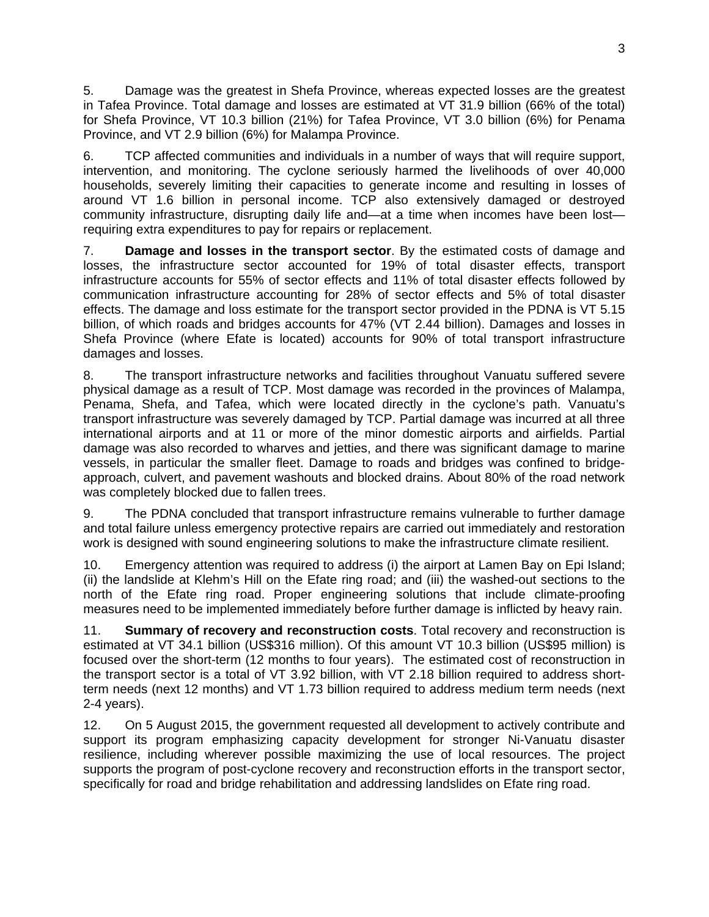5. Damage was the greatest in Shefa Province, whereas expected losses are the greatest in Tafea Province. Total damage and losses are estimated at VT 31.9 billion (66% of the total) for Shefa Province, VT 10.3 billion (21%) for Tafea Province, VT 3.0 billion (6%) for Penama Province, and VT 2.9 billion (6%) for Malampa Province.

6. TCP affected communities and individuals in a number of ways that will require support, intervention, and monitoring. The cyclone seriously harmed the livelihoods of over 40,000 households, severely limiting their capacities to generate income and resulting in losses of around VT 1.6 billion in personal income. TCP also extensively damaged or destroyed community infrastructure, disrupting daily life and—at a time when incomes have been lost requiring extra expenditures to pay for repairs or replacement.

7. **Damage and losses in the transport sector**. By the estimated costs of damage and losses, the infrastructure sector accounted for 19% of total disaster effects, transport infrastructure accounts for 55% of sector effects and 11% of total disaster effects followed by communication infrastructure accounting for 28% of sector effects and 5% of total disaster effects. The damage and loss estimate for the transport sector provided in the PDNA is VT 5.15 billion, of which roads and bridges accounts for 47% (VT 2.44 billion). Damages and losses in Shefa Province (where Efate is located) accounts for 90% of total transport infrastructure damages and losses.

8. The transport infrastructure networks and facilities throughout Vanuatu suffered severe physical damage as a result of TCP. Most damage was recorded in the provinces of Malampa, Penama, Shefa, and Tafea, which were located directly in the cyclone's path. Vanuatu's transport infrastructure was severely damaged by TCP. Partial damage was incurred at all three international airports and at 11 or more of the minor domestic airports and airfields. Partial damage was also recorded to wharves and jetties, and there was significant damage to marine vessels, in particular the smaller fleet. Damage to roads and bridges was confined to bridgeapproach, culvert, and pavement washouts and blocked drains. About 80% of the road network was completely blocked due to fallen trees.

9. The PDNA concluded that transport infrastructure remains vulnerable to further damage and total failure unless emergency protective repairs are carried out immediately and restoration work is designed with sound engineering solutions to make the infrastructure climate resilient.

10. Emergency attention was required to address (i) the airport at Lamen Bay on Epi Island; (ii) the landslide at Klehm's Hill on the Efate ring road; and (iii) the washed-out sections to the north of the Efate ring road. Proper engineering solutions that include climate-proofing measures need to be implemented immediately before further damage is inflicted by heavy rain.

11. **Summary of recovery and reconstruction costs**. Total recovery and reconstruction is estimated at VT 34.1 billion (US\$316 million). Of this amount VT 10.3 billion (US\$95 million) is focused over the short-term (12 months to four years). The estimated cost of reconstruction in the transport sector is a total of VT 3.92 billion, with VT 2.18 billion required to address shortterm needs (next 12 months) and VT 1.73 billion required to address medium term needs (next 2-4 years).

12. On 5 August 2015, the government requested all development to actively contribute and support its program emphasizing capacity development for stronger Ni-Vanuatu disaster resilience, including wherever possible maximizing the use of local resources. The project supports the program of post-cyclone recovery and reconstruction efforts in the transport sector, specifically for road and bridge rehabilitation and addressing landslides on Efate ring road.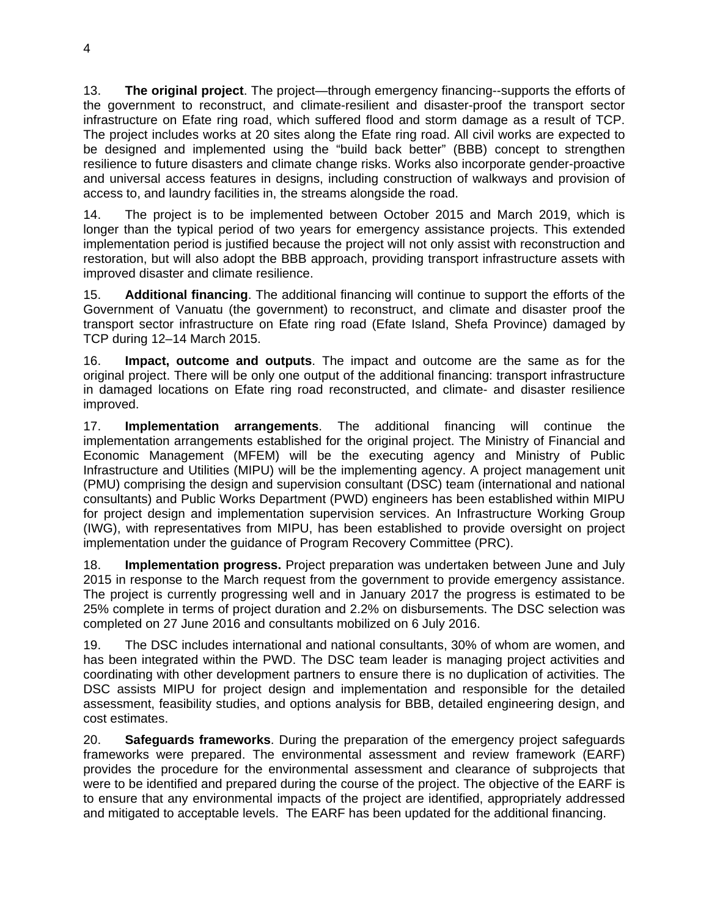13. **The original project**. The project—through emergency financing--supports the efforts of the government to reconstruct, and climate-resilient and disaster-proof the transport sector infrastructure on Efate ring road, which suffered flood and storm damage as a result of TCP. The project includes works at 20 sites along the Efate ring road. All civil works are expected to be designed and implemented using the "build back better" (BBB) concept to strengthen resilience to future disasters and climate change risks. Works also incorporate gender-proactive and universal access features in designs, including construction of walkways and provision of access to, and laundry facilities in, the streams alongside the road.

14. The project is to be implemented between October 2015 and March 2019, which is longer than the typical period of two years for emergency assistance projects. This extended implementation period is justified because the project will not only assist with reconstruction and restoration, but will also adopt the BBB approach, providing transport infrastructure assets with improved disaster and climate resilience.

15. **Additional financing**. The additional financing will continue to support the efforts of the Government of Vanuatu (the government) to reconstruct, and climate and disaster proof the transport sector infrastructure on Efate ring road (Efate Island, Shefa Province) damaged by TCP during 12–14 March 2015.

16. **Impact, outcome and outputs**. The impact and outcome are the same as for the original project. There will be only one output of the additional financing: transport infrastructure in damaged locations on Efate ring road reconstructed, and climate- and disaster resilience improved.

17. **Implementation arrangements**. The additional financing will continue the implementation arrangements established for the original project. The Ministry of Financial and Economic Management (MFEM) will be the executing agency and Ministry of Public Infrastructure and Utilities (MIPU) will be the implementing agency. A project management unit (PMU) comprising the design and supervision consultant (DSC) team (international and national consultants) and Public Works Department (PWD) engineers has been established within MIPU for project design and implementation supervision services. An Infrastructure Working Group (IWG), with representatives from MIPU, has been established to provide oversight on project implementation under the guidance of Program Recovery Committee (PRC).

18. **Implementation progress.** Project preparation was undertaken between June and July 2015 in response to the March request from the government to provide emergency assistance. The project is currently progressing well and in January 2017 the progress is estimated to be 25% complete in terms of project duration and 2.2% on disbursements. The DSC selection was completed on 27 June 2016 and consultants mobilized on 6 July 2016.

19. The DSC includes international and national consultants, 30% of whom are women, and has been integrated within the PWD. The DSC team leader is managing project activities and coordinating with other development partners to ensure there is no duplication of activities. The DSC assists MIPU for project design and implementation and responsible for the detailed assessment, feasibility studies, and options analysis for BBB, detailed engineering design, and cost estimates.

20. **Safeguards frameworks**. During the preparation of the emergency project safeguards frameworks were prepared. The environmental assessment and review framework (EARF) provides the procedure for the environmental assessment and clearance of subprojects that were to be identified and prepared during the course of the project. The objective of the EARF is to ensure that any environmental impacts of the project are identified, appropriately addressed and mitigated to acceptable levels. The EARF has been updated for the additional financing.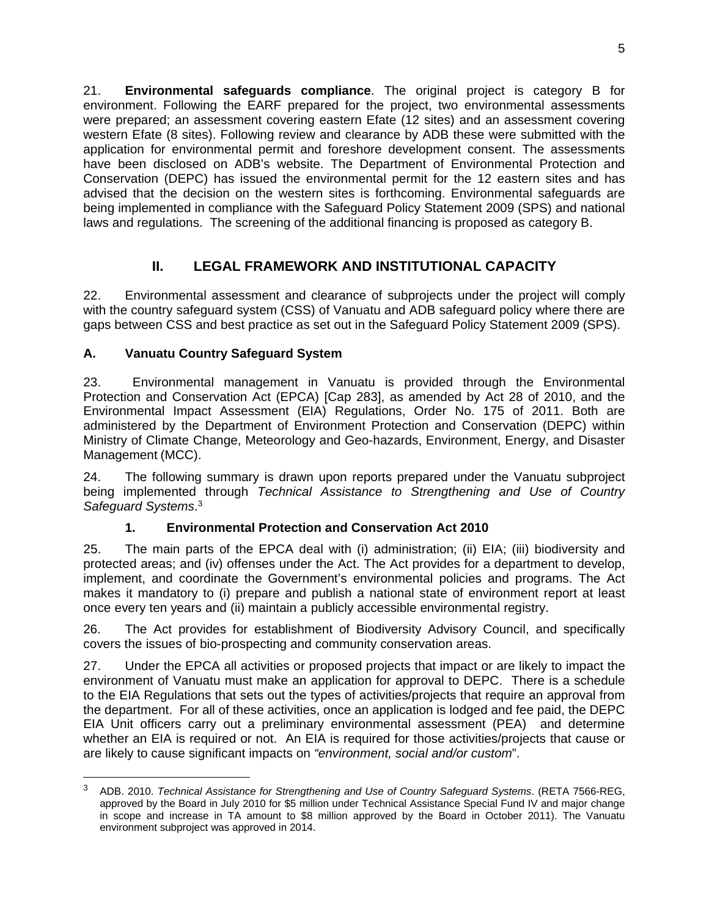21. **Environmental safeguards compliance**. The original project is category B for environment. Following the EARF prepared for the project, two environmental assessments were prepared; an assessment covering eastern Efate (12 sites) and an assessment covering western Efate (8 sites). Following review and clearance by ADB these were submitted with the application for environmental permit and foreshore development consent. The assessments have been disclosed on ADB's website. The Department of Environmental Protection and Conservation (DEPC) has issued the environmental permit for the 12 eastern sites and has advised that the decision on the western sites is forthcoming. Environmental safeguards are being implemented in compliance with the Safeguard Policy Statement 2009 (SPS) and national laws and regulations. The screening of the additional financing is proposed as category B.

# **II. LEGAL FRAMEWORK AND INSTITUTIONAL CAPACITY**

22. Environmental assessment and clearance of subprojects under the project will comply with the country safeguard system (CSS) of Vanuatu and ADB safeguard policy where there are gaps between CSS and best practice as set out in the Safeguard Policy Statement 2009 (SPS).

### **A. Vanuatu Country Safeguard System**

-

23. Environmental management in Vanuatu is provided through the Environmental Protection and Conservation Act (EPCA) [Cap 283], as amended by Act 28 of 2010, and the Environmental Impact Assessment (EIA) Regulations, Order No. 175 of 2011. Both are administered by the Department of Environment Protection and Conservation (DEPC) within Ministry of Climate Change, Meteorology and Geo-hazards, Environment, Energy, and Disaster Management (MCC).

24. The following summary is drawn upon reports prepared under the Vanuatu subproject being implemented through *Technical Assistance to Strengthening and Use of Country Safeguard Systems*. 3

### **1. Environmental Protection and Conservation Act 2010**

25. The main parts of the EPCA deal with (i) administration; (ii) EIA; (iii) biodiversity and protected areas; and (iv) offenses under the Act. The Act provides for a department to develop, implement, and coordinate the Government's environmental policies and programs. The Act makes it mandatory to (i) prepare and publish a national state of environment report at least once every ten years and (ii) maintain a publicly accessible environmental registry.

26. The Act provides for establishment of Biodiversity Advisory Council, and specifically covers the issues of bio-prospecting and community conservation areas.

27. Under the EPCA all activities or proposed projects that impact or are likely to impact the environment of Vanuatu must make an application for approval to DEPC. There is a schedule to the EIA Regulations that sets out the types of activities/projects that require an approval from the department. For all of these activities, once an application is lodged and fee paid, the DEPC EIA Unit officers carry out a preliminary environmental assessment (PEA) and determine whether an EIA is required or not. An EIA is required for those activities/projects that cause or are likely to cause significant impacts on *"environment, social and/or custom*".

<sup>3</sup> ADB. 2010. *Technical Assistance for Strengthening and Use of Country Safeguard Systems*. (RETA 7566-REG, approved by the Board in July 2010 for \$5 million under Technical Assistance Special Fund IV and major change in scope and increase in TA amount to \$8 million approved by the Board in October 2011). The Vanuatu environment subproject was approved in 2014.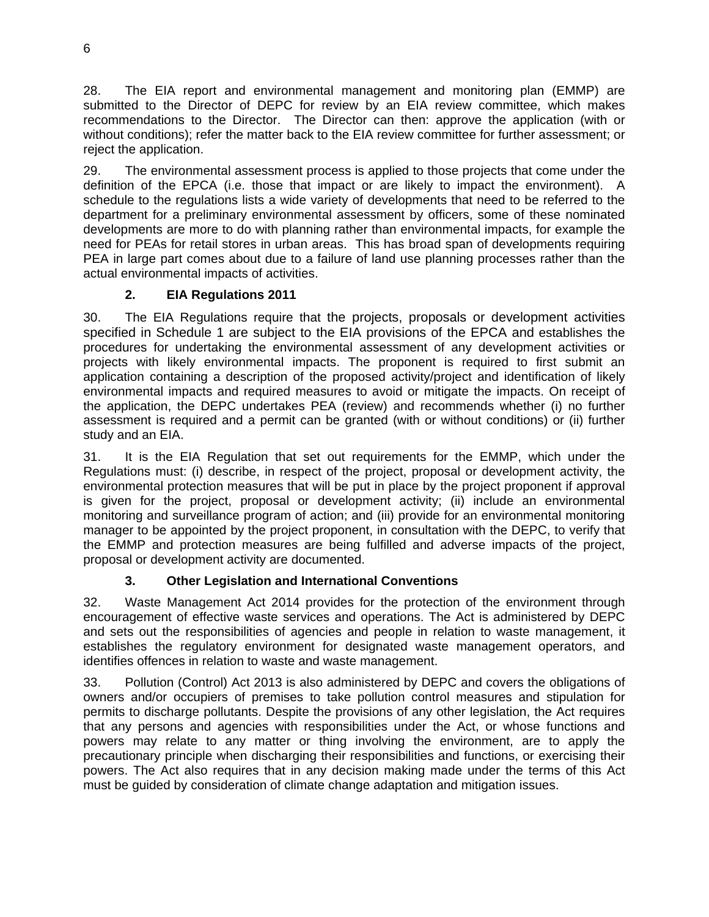28. The EIA report and environmental management and monitoring plan (EMMP) are submitted to the Director of DEPC for review by an EIA review committee, which makes recommendations to the Director. The Director can then: approve the application (with or without conditions); refer the matter back to the EIA review committee for further assessment; or reject the application.

29. The environmental assessment process is applied to those projects that come under the definition of the EPCA (i.e. those that impact or are likely to impact the environment). A schedule to the regulations lists a wide variety of developments that need to be referred to the department for a preliminary environmental assessment by officers, some of these nominated developments are more to do with planning rather than environmental impacts, for example the need for PEAs for retail stores in urban areas. This has broad span of developments requiring PEA in large part comes about due to a failure of land use planning processes rather than the actual environmental impacts of activities.

# **2. EIA Regulations 2011**

30. The EIA Regulations require that the projects, proposals or development activities specified in Schedule 1 are subject to the EIA provisions of the EPCA and establishes the procedures for undertaking the environmental assessment of any development activities or projects with likely environmental impacts. The proponent is required to first submit an application containing a description of the proposed activity/project and identification of likely environmental impacts and required measures to avoid or mitigate the impacts. On receipt of the application, the DEPC undertakes PEA (review) and recommends whether (i) no further assessment is required and a permit can be granted (with or without conditions) or (ii) further study and an EIA.

31. It is the EIA Regulation that set out requirements for the EMMP, which under the Regulations must: (i) describe, in respect of the project, proposal or development activity, the environmental protection measures that will be put in place by the project proponent if approval is given for the project, proposal or development activity; (ii) include an environmental monitoring and surveillance program of action; and (iii) provide for an environmental monitoring manager to be appointed by the project proponent, in consultation with the DEPC, to verify that the EMMP and protection measures are being fulfilled and adverse impacts of the project, proposal or development activity are documented.

# **3. Other Legislation and International Conventions**

32. Waste Management Act 2014 provides for the protection of the environment through encouragement of effective waste services and operations. The Act is administered by DEPC and sets out the responsibilities of agencies and people in relation to waste management, it establishes the regulatory environment for designated waste management operators, and identifies offences in relation to waste and waste management.

33. Pollution (Control) Act 2013 is also administered by DEPC and covers the obligations of owners and/or occupiers of premises to take pollution control measures and stipulation for permits to discharge pollutants. Despite the provisions of any other legislation, the Act requires that any persons and agencies with responsibilities under the Act, or whose functions and powers may relate to any matter or thing involving the environment, are to apply the precautionary principle when discharging their responsibilities and functions, or exercising their powers. The Act also requires that in any decision making made under the terms of this Act must be guided by consideration of climate change adaptation and mitigation issues.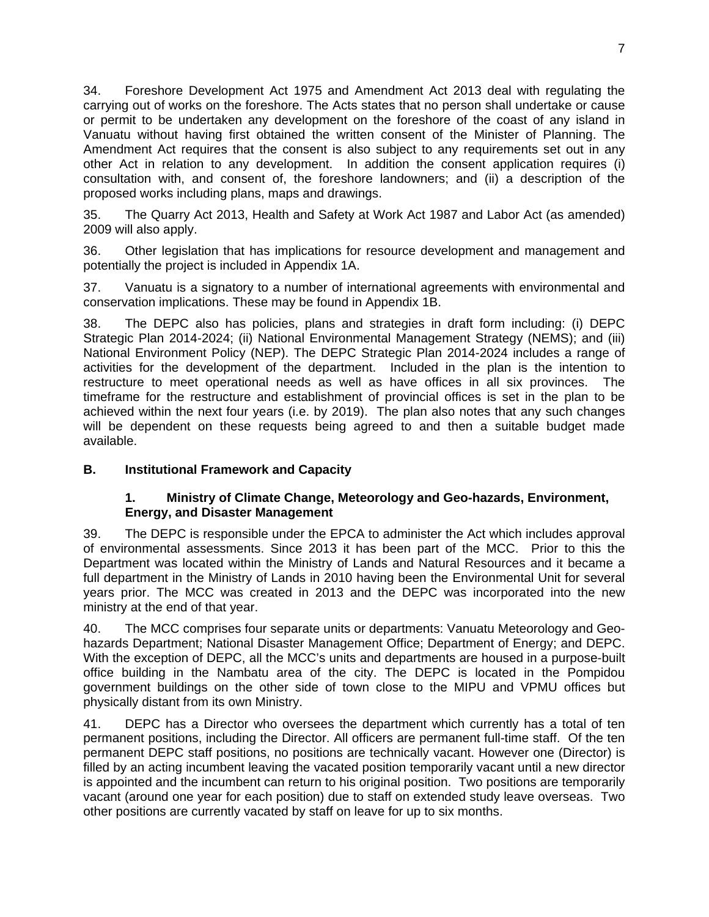34. Foreshore Development Act 1975 and Amendment Act 2013 deal with regulating the carrying out of works on the foreshore. The Acts states that no person shall undertake or cause or permit to be undertaken any development on the foreshore of the coast of any island in Vanuatu without having first obtained the written consent of the Minister of Planning. The Amendment Act requires that the consent is also subject to any requirements set out in any other Act in relation to any development. In addition the consent application requires (i) consultation with, and consent of, the foreshore landowners; and (ii) a description of the proposed works including plans, maps and drawings.

35. The Quarry Act 2013, Health and Safety at Work Act 1987 and Labor Act (as amended) 2009 will also apply.

36. Other legislation that has implications for resource development and management and potentially the project is included in Appendix 1A.

37. Vanuatu is a signatory to a number of international agreements with environmental and conservation implications. These may be found in Appendix 1B.

38. The DEPC also has policies, plans and strategies in draft form including: (i) DEPC Strategic Plan 2014-2024; (ii) National Environmental Management Strategy (NEMS); and (iii) National Environment Policy (NEP). The DEPC Strategic Plan 2014-2024 includes a range of activities for the development of the department. Included in the plan is the intention to restructure to meet operational needs as well as have offices in all six provinces. The timeframe for the restructure and establishment of provincial offices is set in the plan to be achieved within the next four years (i.e. by 2019). The plan also notes that any such changes will be dependent on these requests being agreed to and then a suitable budget made available.

#### **B. Institutional Framework and Capacity**

#### **1. Ministry of Climate Change, Meteorology and Geo-hazards, Environment, Energy, and Disaster Management**

39. The DEPC is responsible under the EPCA to administer the Act which includes approval of environmental assessments. Since 2013 it has been part of the MCC. Prior to this the Department was located within the Ministry of Lands and Natural Resources and it became a full department in the Ministry of Lands in 2010 having been the Environmental Unit for several years prior. The MCC was created in 2013 and the DEPC was incorporated into the new ministry at the end of that year.

40. The MCC comprises four separate units or departments: Vanuatu Meteorology and Geohazards Department; National Disaster Management Office; Department of Energy; and DEPC. With the exception of DEPC, all the MCC's units and departments are housed in a purpose-built office building in the Nambatu area of the city. The DEPC is located in the Pompidou government buildings on the other side of town close to the MIPU and VPMU offices but physically distant from its own Ministry.

41. DEPC has a Director who oversees the department which currently has a total of ten permanent positions, including the Director. All officers are permanent full-time staff. Of the ten permanent DEPC staff positions, no positions are technically vacant. However one (Director) is filled by an acting incumbent leaving the vacated position temporarily vacant until a new director is appointed and the incumbent can return to his original position. Two positions are temporarily vacant (around one year for each position) due to staff on extended study leave overseas. Two other positions are currently vacated by staff on leave for up to six months.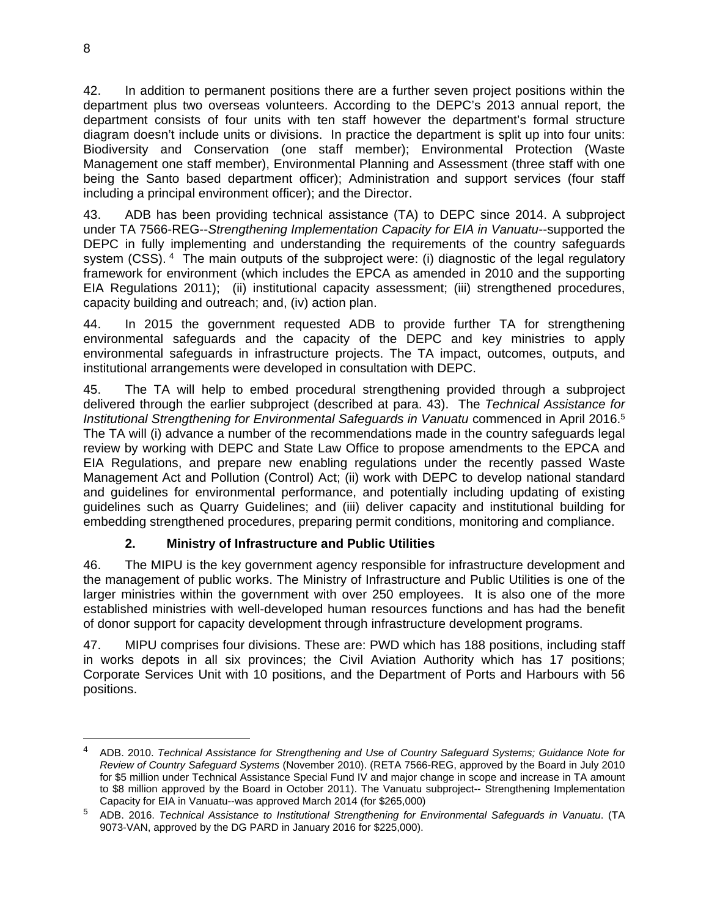42. In addition to permanent positions there are a further seven project positions within the department plus two overseas volunteers. According to the DEPC's 2013 annual report, the department consists of four units with ten staff however the department's formal structure diagram doesn't include units or divisions. In practice the department is split up into four units: Biodiversity and Conservation (one staff member); Environmental Protection (Waste Management one staff member), Environmental Planning and Assessment (three staff with one being the Santo based department officer); Administration and support services (four staff including a principal environment officer); and the Director.

43. ADB has been providing technical assistance (TA) to DEPC since 2014. A subproject under TA 7566-REG--*Strengthening Implementation Capacity for EIA in Vanuatu*--supported the DEPC in fully implementing and understanding the requirements of the country safeguards system (CSS). <sup>4</sup> The main outputs of the subproject were: (i) diagnostic of the legal regulatory framework for environment (which includes the EPCA as amended in 2010 and the supporting EIA Regulations 2011); (ii) institutional capacity assessment; (iii) strengthened procedures, capacity building and outreach; and, (iv) action plan.

44. In 2015 the government requested ADB to provide further TA for strengthening environmental safeguards and the capacity of the DEPC and key ministries to apply environmental safeguards in infrastructure projects. The TA impact, outcomes, outputs, and institutional arrangements were developed in consultation with DEPC.

45. The TA will help to embed procedural strengthening provided through a subproject delivered through the earlier subproject (described at para. 43). The *Technical Assistance for Institutional Strengthening for Environmental Safeguards in Vanuatu commenced in April 2016.<sup>5</sup>* The TA will (i) advance a number of the recommendations made in the country safeguards legal review by working with DEPC and State Law Office to propose amendments to the EPCA and EIA Regulations, and prepare new enabling regulations under the recently passed Waste Management Act and Pollution (Control) Act; (ii) work with DEPC to develop national standard and guidelines for environmental performance, and potentially including updating of existing guidelines such as Quarry Guidelines; and (iii) deliver capacity and institutional building for embedding strengthened procedures, preparing permit conditions, monitoring and compliance.

### **2. Ministry of Infrastructure and Public Utilities**

46. The MIPU is the key government agency responsible for infrastructure development and the management of public works. The Ministry of Infrastructure and Public Utilities is one of the larger ministries within the government with over 250 employees. It is also one of the more established ministries with well-developed human resources functions and has had the benefit of donor support for capacity development through infrastructure development programs.

47. MIPU comprises four divisions. These are: PWD which has 188 positions, including staff in works depots in all six provinces; the Civil Aviation Authority which has 17 positions; Corporate Services Unit with 10 positions, and the Department of Ports and Harbours with 56 positions.

<sup>4</sup> ADB. 2010. *Technical Assistance for Strengthening and Use of Country Safeguard Systems; Guidance Note for Review of Country Safeguard Systems* (November 2010). (RETA 7566-REG, approved by the Board in July 2010 for \$5 million under Technical Assistance Special Fund IV and major change in scope and increase in TA amount to \$8 million approved by the Board in October 2011). The Vanuatu subproject-- Strengthening Implementation Capacity for EIA in Vanuatu--was approved March 2014 (for \$265,000)

<sup>5</sup> ADB. 2016. *Technical Assistance to Institutional Strengthening for Environmental Safeguards in Vanuatu*. (TA 9073-VAN, approved by the DG PARD in January 2016 for \$225,000).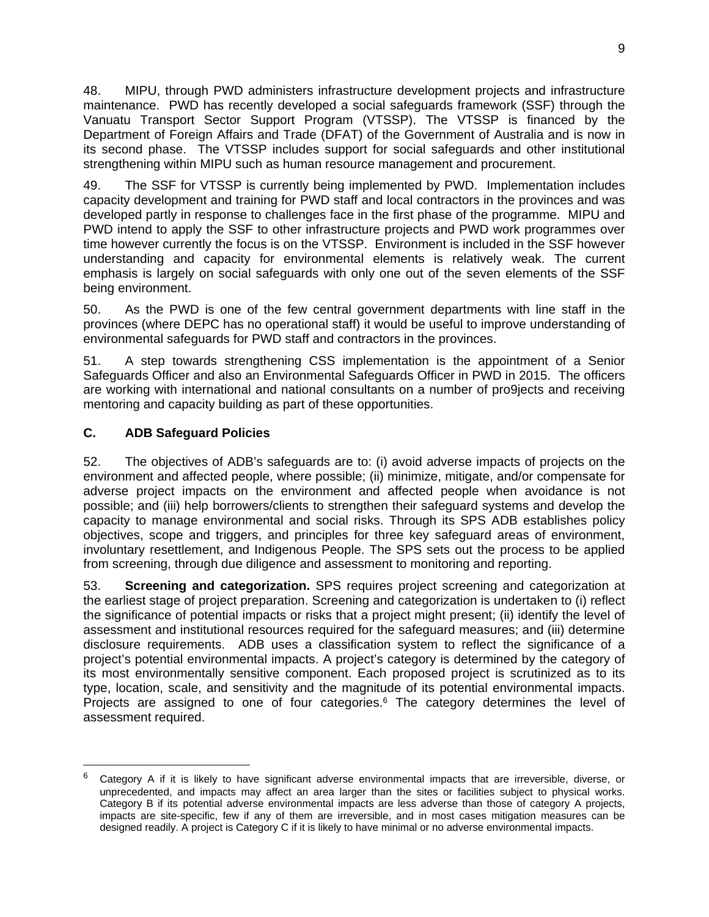48. MIPU, through PWD administers infrastructure development projects and infrastructure maintenance. PWD has recently developed a social safeguards framework (SSF) through the Vanuatu Transport Sector Support Program (VTSSP). The VTSSP is financed by the Department of Foreign Affairs and Trade (DFAT) of the Government of Australia and is now in its second phase. The VTSSP includes support for social safeguards and other institutional strengthening within MIPU such as human resource management and procurement.

49. The SSF for VTSSP is currently being implemented by PWD. Implementation includes capacity development and training for PWD staff and local contractors in the provinces and was developed partly in response to challenges face in the first phase of the programme. MIPU and PWD intend to apply the SSF to other infrastructure projects and PWD work programmes over time however currently the focus is on the VTSSP. Environment is included in the SSF however understanding and capacity for environmental elements is relatively weak. The current emphasis is largely on social safeguards with only one out of the seven elements of the SSF being environment.

50. As the PWD is one of the few central government departments with line staff in the provinces (where DEPC has no operational staff) it would be useful to improve understanding of environmental safeguards for PWD staff and contractors in the provinces.

51. A step towards strengthening CSS implementation is the appointment of a Senior Safeguards Officer and also an Environmental Safeguards Officer in PWD in 2015. The officers are working with international and national consultants on a number of pro9jects and receiving mentoring and capacity building as part of these opportunities.

### **C. ADB Safeguard Policies**

-

52. The objectives of ADB's safeguards are to: (i) avoid adverse impacts of projects on the environment and affected people, where possible; (ii) minimize, mitigate, and/or compensate for adverse project impacts on the environment and affected people when avoidance is not possible; and (iii) help borrowers/clients to strengthen their safeguard systems and develop the capacity to manage environmental and social risks. Through its SPS ADB establishes policy objectives, scope and triggers, and principles for three key safeguard areas of environment, involuntary resettlement, and Indigenous People. The SPS sets out the process to be applied from screening, through due diligence and assessment to monitoring and reporting.

53. **Screening and categorization.** SPS requires project screening and categorization at the earliest stage of project preparation. Screening and categorization is undertaken to (i) reflect the significance of potential impacts or risks that a project might present; (ii) identify the level of assessment and institutional resources required for the safeguard measures; and (iii) determine disclosure requirements. ADB uses a classification system to reflect the significance of a project's potential environmental impacts. A project's category is determined by the category of its most environmentally sensitive component. Each proposed project is scrutinized as to its type, location, scale, and sensitivity and the magnitude of its potential environmental impacts. Projects are assigned to one of four categories.<sup>6</sup> The category determines the level of assessment required.

<sup>6</sup> Category A if it is likely to have significant adverse environmental impacts that are irreversible, diverse, or unprecedented, and impacts may affect an area larger than the sites or facilities subject to physical works. Category B if its potential adverse environmental impacts are less adverse than those of category A projects, impacts are site-specific, few if any of them are irreversible, and in most cases mitigation measures can be designed readily. A project is Category C if it is likely to have minimal or no adverse environmental impacts.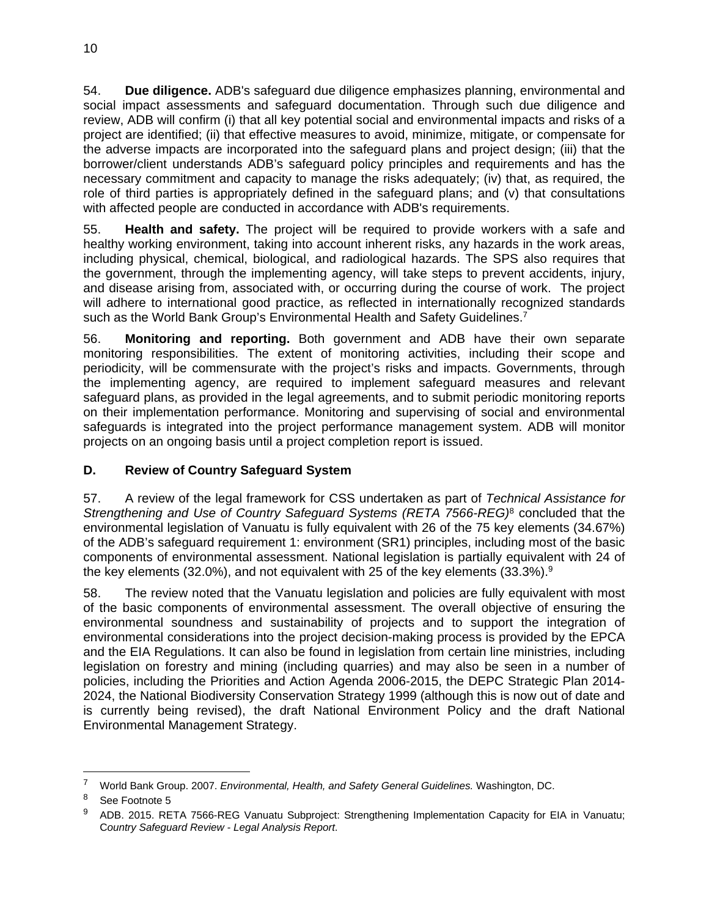54. **Due diligence.** ADB's safeguard due diligence emphasizes planning, environmental and social impact assessments and safeguard documentation. Through such due diligence and review, ADB will confirm (i) that all key potential social and environmental impacts and risks of a project are identified; (ii) that effective measures to avoid, minimize, mitigate, or compensate for the adverse impacts are incorporated into the safeguard plans and project design; (iii) that the borrower/client understands ADB's safeguard policy principles and requirements and has the necessary commitment and capacity to manage the risks adequately; (iv) that, as required, the role of third parties is appropriately defined in the safeguard plans; and (v) that consultations with affected people are conducted in accordance with ADB's requirements.

55. **Health and safety.** The project will be required to provide workers with a safe and healthy working environment, taking into account inherent risks, any hazards in the work areas, including physical, chemical, biological, and radiological hazards. The SPS also requires that the government, through the implementing agency, will take steps to prevent accidents, injury, and disease arising from, associated with, or occurring during the course of work. The project will adhere to international good practice, as reflected in internationally recognized standards such as the World Bank Group's Environmental Health and Safety Guidelines.<sup>7</sup>

56. **Monitoring and reporting.** Both government and ADB have their own separate monitoring responsibilities. The extent of monitoring activities, including their scope and periodicity, will be commensurate with the project's risks and impacts. Governments, through the implementing agency, are required to implement safeguard measures and relevant safeguard plans, as provided in the legal agreements, and to submit periodic monitoring reports on their implementation performance. Monitoring and supervising of social and environmental safeguards is integrated into the project performance management system. ADB will monitor projects on an ongoing basis until a project completion report is issued.

# **D. Review of Country Safeguard System**

57. A review of the legal framework for CSS undertaken as part of *Technical Assistance for Strengthening and Use of Country Safeguard Systems (RETA 7566-REG)*8 concluded that the environmental legislation of Vanuatu is fully equivalent with 26 of the 75 key elements (34.67%) of the ADB's safeguard requirement 1: environment (SR1) principles, including most of the basic components of environmental assessment. National legislation is partially equivalent with 24 of the key elements (32.0%), and not equivalent with 25 of the key elements (33.3%). $9$ 

58. The review noted that the Vanuatu legislation and policies are fully equivalent with most of the basic components of environmental assessment. The overall objective of ensuring the environmental soundness and sustainability of projects and to support the integration of environmental considerations into the project decision-making process is provided by the EPCA and the EIA Regulations. It can also be found in legislation from certain line ministries, including legislation on forestry and mining (including quarries) and may also be seen in a number of policies, including the Priorities and Action Agenda 2006-2015, the DEPC Strategic Plan 2014- 2024, the National Biodiversity Conservation Strategy 1999 (although this is now out of date and is currently being revised), the draft National Environment Policy and the draft National Environmental Management Strategy.

-

<sup>7</sup> World Bank Group. 2007. *Environmental, Health, and Safety General Guidelines.* Washington, DC.

<sup>&</sup>lt;sup>8</sup> See Footnote 5

<sup>9</sup> ADB. 2015. RETA 7566-REG Vanuatu Subproject: Strengthening Implementation Capacity for EIA in Vanuatu; C*ountry Safeguard Review - Legal Analysis Report*.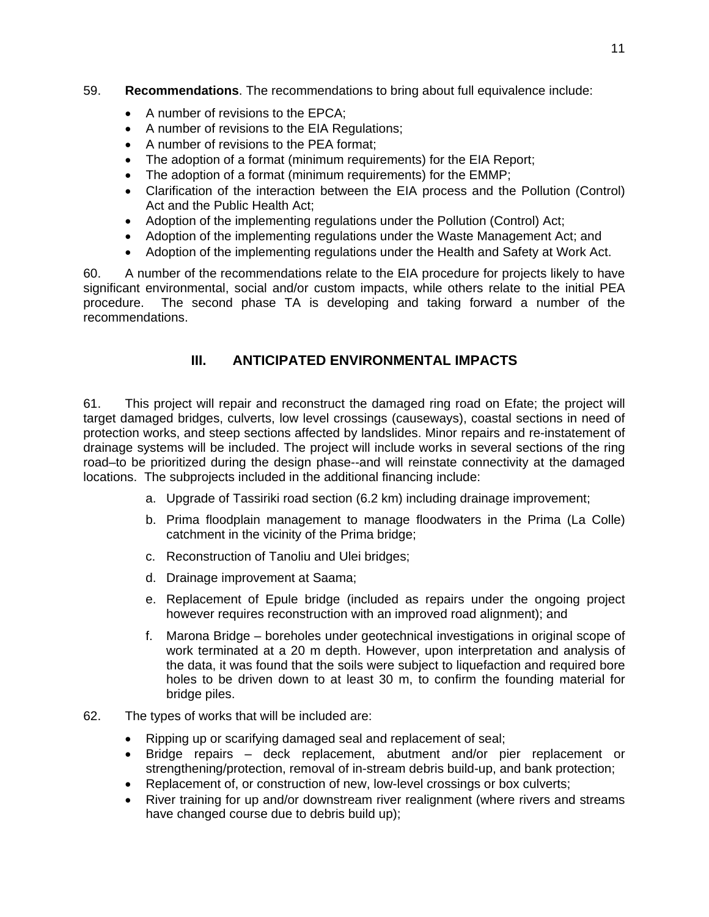### 59. **Recommendations**. The recommendations to bring about full equivalence include:

- A number of revisions to the EPCA;
- A number of revisions to the EIA Regulations;
- A number of revisions to the PEA format;
- The adoption of a format (minimum requirements) for the EIA Report;
- The adoption of a format (minimum requirements) for the EMMP;
- Clarification of the interaction between the EIA process and the Pollution (Control) Act and the Public Health Act;
- Adoption of the implementing regulations under the Pollution (Control) Act;
- Adoption of the implementing regulations under the Waste Management Act; and
- Adoption of the implementing regulations under the Health and Safety at Work Act.

60. A number of the recommendations relate to the EIA procedure for projects likely to have significant environmental, social and/or custom impacts, while others relate to the initial PEA procedure. The second phase TA is developing and taking forward a number of the recommendations.

# **III. ANTICIPATED ENVIRONMENTAL IMPACTS**

61. This project will repair and reconstruct the damaged ring road on Efate; the project will target damaged bridges, culverts, low level crossings (causeways), coastal sections in need of protection works, and steep sections affected by landslides. Minor repairs and re-instatement of drainage systems will be included. The project will include works in several sections of the ring road–to be prioritized during the design phase--and will reinstate connectivity at the damaged locations. The subprojects included in the additional financing include:

- a. Upgrade of Tassiriki road section (6.2 km) including drainage improvement;
- b. Prima floodplain management to manage floodwaters in the Prima (La Colle) catchment in the vicinity of the Prima bridge;
- c. Reconstruction of Tanoliu and Ulei bridges;
- d. Drainage improvement at Saama;
- e. Replacement of Epule bridge (included as repairs under the ongoing project however requires reconstruction with an improved road alignment); and
- f. Marona Bridge boreholes under geotechnical investigations in original scope of work terminated at a 20 m depth. However, upon interpretation and analysis of the data, it was found that the soils were subject to liquefaction and required bore holes to be driven down to at least 30 m, to confirm the founding material for bridge piles.
- 62. The types of works that will be included are:
	- Ripping up or scarifying damaged seal and replacement of seal;
	- Bridge repairs deck replacement, abutment and/or pier replacement or strengthening/protection, removal of in-stream debris build-up, and bank protection;
	- Replacement of, or construction of new, low-level crossings or box culverts;
	- River training for up and/or downstream river realignment (where rivers and streams have changed course due to debris build up);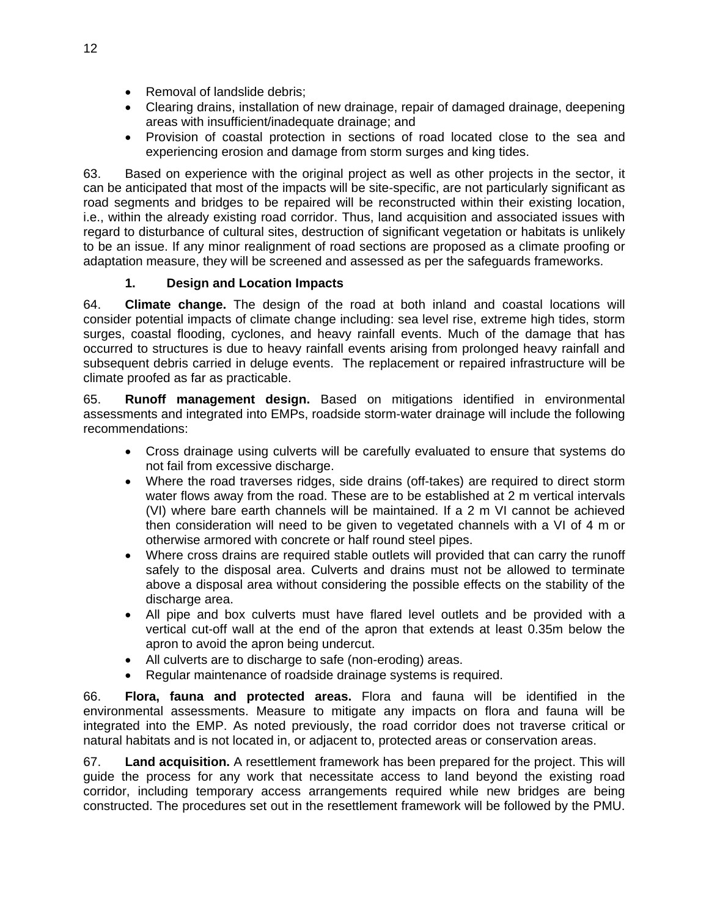- Removal of landslide debris;
- Clearing drains, installation of new drainage, repair of damaged drainage, deepening areas with insufficient/inadequate drainage; and
- Provision of coastal protection in sections of road located close to the sea and experiencing erosion and damage from storm surges and king tides.

63. Based on experience with the original project as well as other projects in the sector, it can be anticipated that most of the impacts will be site-specific, are not particularly significant as road segments and bridges to be repaired will be reconstructed within their existing location, i.e., within the already existing road corridor. Thus, land acquisition and associated issues with regard to disturbance of cultural sites, destruction of significant vegetation or habitats is unlikely to be an issue. If any minor realignment of road sections are proposed as a climate proofing or adaptation measure, they will be screened and assessed as per the safeguards frameworks.

### **1. Design and Location Impacts**

64. **Climate change.** The design of the road at both inland and coastal locations will consider potential impacts of climate change including: sea level rise, extreme high tides, storm surges, coastal flooding, cyclones, and heavy rainfall events. Much of the damage that has occurred to structures is due to heavy rainfall events arising from prolonged heavy rainfall and subsequent debris carried in deluge events. The replacement or repaired infrastructure will be climate proofed as far as practicable.

65. **Runoff management design.** Based on mitigations identified in environmental assessments and integrated into EMPs, roadside storm-water drainage will include the following recommendations:

- Cross drainage using culverts will be carefully evaluated to ensure that systems do not fail from excessive discharge.
- Where the road traverses ridges, side drains (off-takes) are required to direct storm water flows away from the road. These are to be established at 2 m vertical intervals (VI) where bare earth channels will be maintained. If a 2 m VI cannot be achieved then consideration will need to be given to vegetated channels with a VI of 4 m or otherwise armored with concrete or half round steel pipes.
- Where cross drains are required stable outlets will provided that can carry the runoff safely to the disposal area. Culverts and drains must not be allowed to terminate above a disposal area without considering the possible effects on the stability of the discharge area.
- All pipe and box culverts must have flared level outlets and be provided with a vertical cut-off wall at the end of the apron that extends at least 0.35m below the apron to avoid the apron being undercut.
- All culverts are to discharge to safe (non-eroding) areas.
- Regular maintenance of roadside drainage systems is required.

66. **Flora, fauna and protected areas.** Flora and fauna will be identified in the environmental assessments. Measure to mitigate any impacts on flora and fauna will be integrated into the EMP. As noted previously, the road corridor does not traverse critical or natural habitats and is not located in, or adjacent to, protected areas or conservation areas.

67. **Land acquisition.** A resettlement framework has been prepared for the project. This will guide the process for any work that necessitate access to land beyond the existing road corridor, including temporary access arrangements required while new bridges are being constructed. The procedures set out in the resettlement framework will be followed by the PMU.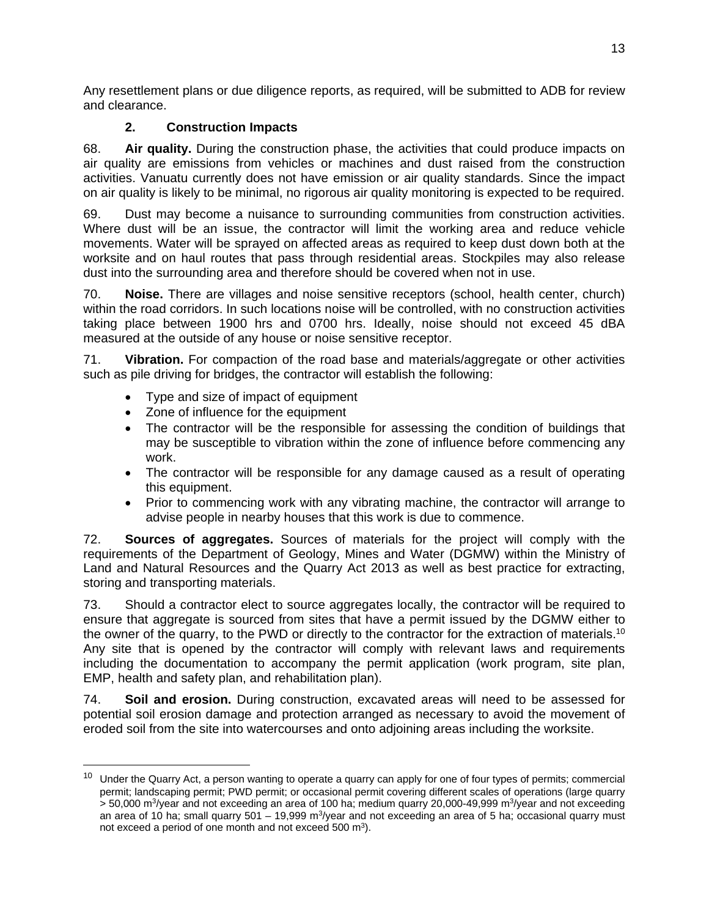Any resettlement plans or due diligence reports, as required, will be submitted to ADB for review and clearance.

# **2. Construction Impacts**

68. **Air quality.** During the construction phase, the activities that could produce impacts on air quality are emissions from vehicles or machines and dust raised from the construction activities. Vanuatu currently does not have emission or air quality standards. Since the impact on air quality is likely to be minimal, no rigorous air quality monitoring is expected to be required.

69. Dust may become a nuisance to surrounding communities from construction activities. Where dust will be an issue, the contractor will limit the working area and reduce vehicle movements. Water will be sprayed on affected areas as required to keep dust down both at the worksite and on haul routes that pass through residential areas. Stockpiles may also release dust into the surrounding area and therefore should be covered when not in use.

70. **Noise.** There are villages and noise sensitive receptors (school, health center, church) within the road corridors. In such locations noise will be controlled, with no construction activities taking place between 1900 hrs and 0700 hrs. Ideally, noise should not exceed 45 dBA measured at the outside of any house or noise sensitive receptor.

71. **Vibration.** For compaction of the road base and materials/aggregate or other activities such as pile driving for bridges, the contractor will establish the following:

- Type and size of impact of equipment
- Zone of influence for the equipment

- The contractor will be the responsible for assessing the condition of buildings that may be susceptible to vibration within the zone of influence before commencing any work.
- The contractor will be responsible for any damage caused as a result of operating this equipment.
- Prior to commencing work with any vibrating machine, the contractor will arrange to advise people in nearby houses that this work is due to commence.

72. **Sources of aggregates.** Sources of materials for the project will comply with the requirements of the Department of Geology, Mines and Water (DGMW) within the Ministry of Land and Natural Resources and the Quarry Act 2013 as well as best practice for extracting, storing and transporting materials.

73. Should a contractor elect to source aggregates locally, the contractor will be required to ensure that aggregate is sourced from sites that have a permit issued by the DGMW either to the owner of the quarry, to the PWD or directly to the contractor for the extraction of materials.<sup>10</sup> Any site that is opened by the contractor will comply with relevant laws and requirements including the documentation to accompany the permit application (work program, site plan, EMP, health and safety plan, and rehabilitation plan).

74. **Soil and erosion.** During construction, excavated areas will need to be assessed for potential soil erosion damage and protection arranged as necessary to avoid the movement of eroded soil from the site into watercourses and onto adjoining areas including the worksite.

<sup>&</sup>lt;sup>10</sup> Under the Quarry Act, a person wanting to operate a quarry can apply for one of four types of permits; commercial permit; landscaping permit; PWD permit; or occasional permit covering different scales of operations (large quarry  $>$  50,000 m<sup>3</sup>/year and not exceeding an area of 100 ha; medium quarry 20,000-49,999 m<sup>3</sup>/year and not exceeding an area of 10 ha; small quarry  $501 - 19,999$  m<sup>3</sup>/year and not exceeding an area of 5 ha; occasional quarry must not exceed a period of one month and not exceed 500 m<sup>3</sup>).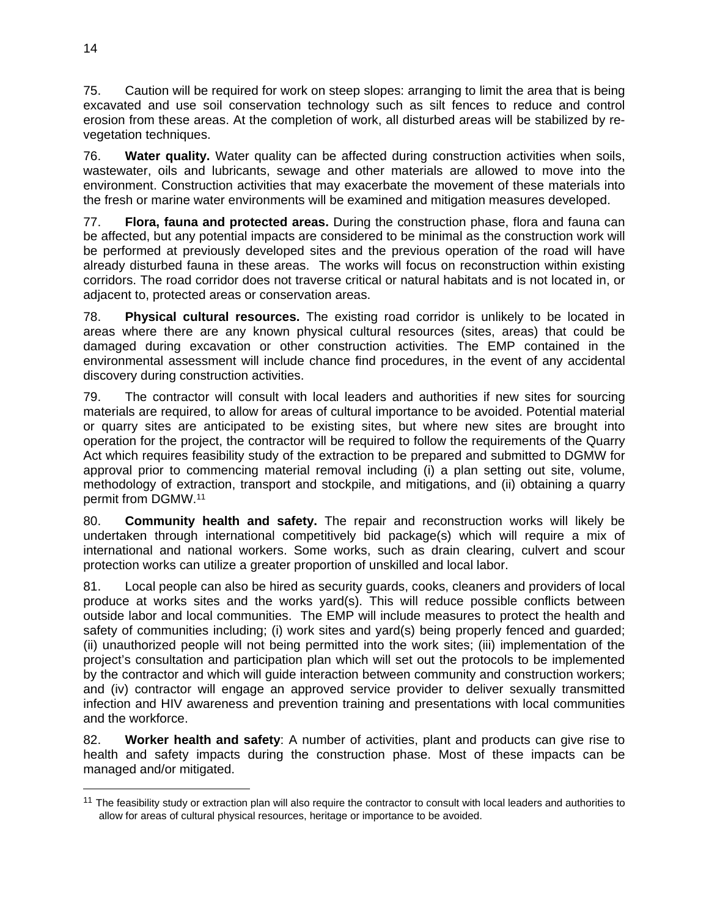75. Caution will be required for work on steep slopes: arranging to limit the area that is being excavated and use soil conservation technology such as silt fences to reduce and control erosion from these areas. At the completion of work, all disturbed areas will be stabilized by revegetation techniques.

76. **Water quality.** Water quality can be affected during construction activities when soils, wastewater, oils and lubricants, sewage and other materials are allowed to move into the environment. Construction activities that may exacerbate the movement of these materials into the fresh or marine water environments will be examined and mitigation measures developed.

77. **Flora, fauna and protected areas.** During the construction phase, flora and fauna can be affected, but any potential impacts are considered to be minimal as the construction work will be performed at previously developed sites and the previous operation of the road will have already disturbed fauna in these areas. The works will focus on reconstruction within existing corridors. The road corridor does not traverse critical or natural habitats and is not located in, or adjacent to, protected areas or conservation areas.

78. **Physical cultural resources.** The existing road corridor is unlikely to be located in areas where there are any known physical cultural resources (sites, areas) that could be damaged during excavation or other construction activities. The EMP contained in the environmental assessment will include chance find procedures, in the event of any accidental discovery during construction activities.

79. The contractor will consult with local leaders and authorities if new sites for sourcing materials are required, to allow for areas of cultural importance to be avoided. Potential material or quarry sites are anticipated to be existing sites, but where new sites are brought into operation for the project, the contractor will be required to follow the requirements of the Quarry Act which requires feasibility study of the extraction to be prepared and submitted to DGMW for approval prior to commencing material removal including (i) a plan setting out site, volume, methodology of extraction, transport and stockpile, and mitigations, and (ii) obtaining a quarry permit from DGMW.11

80. **Community health and safety.** The repair and reconstruction works will likely be undertaken through international competitively bid package(s) which will require a mix of international and national workers. Some works, such as drain clearing, culvert and scour protection works can utilize a greater proportion of unskilled and local labor.

81. Local people can also be hired as security guards, cooks, cleaners and providers of local produce at works sites and the works yard(s). This will reduce possible conflicts between outside labor and local communities. The EMP will include measures to protect the health and safety of communities including; (i) work sites and yard(s) being properly fenced and guarded; (ii) unauthorized people will not being permitted into the work sites; (iii) implementation of the project's consultation and participation plan which will set out the protocols to be implemented by the contractor and which will guide interaction between community and construction workers; and (iv) contractor will engage an approved service provider to deliver sexually transmitted infection and HIV awareness and prevention training and presentations with local communities and the workforce.

82. **Worker health and safety**: A number of activities, plant and products can give rise to health and safety impacts during the construction phase. Most of these impacts can be managed and/or mitigated.

-

<sup>&</sup>lt;sup>11</sup> The feasibility study or extraction plan will also require the contractor to consult with local leaders and authorities to allow for areas of cultural physical resources, heritage or importance to be avoided.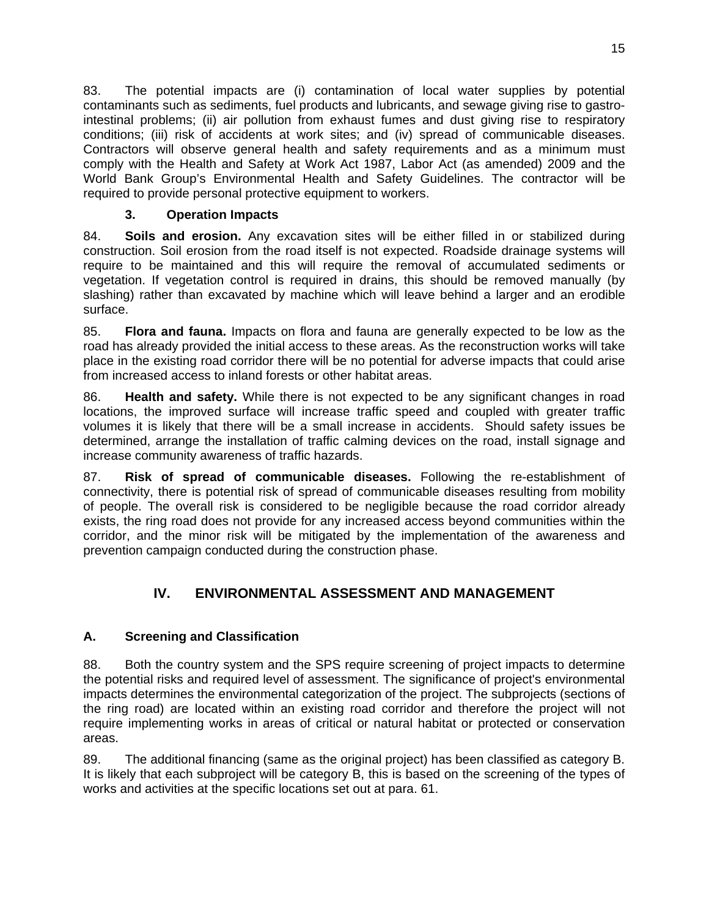83. The potential impacts are (i) contamination of local water supplies by potential contaminants such as sediments, fuel products and lubricants, and sewage giving rise to gastrointestinal problems; (ii) air pollution from exhaust fumes and dust giving rise to respiratory conditions; (iii) risk of accidents at work sites; and (iv) spread of communicable diseases. Contractors will observe general health and safety requirements and as a minimum must comply with the Health and Safety at Work Act 1987, Labor Act (as amended) 2009 and the World Bank Group's Environmental Health and Safety Guidelines. The contractor will be required to provide personal protective equipment to workers.

## **3. Operation Impacts**

84. **Soils and erosion.** Any excavation sites will be either filled in or stabilized during construction. Soil erosion from the road itself is not expected. Roadside drainage systems will require to be maintained and this will require the removal of accumulated sediments or vegetation. If vegetation control is required in drains, this should be removed manually (by slashing) rather than excavated by machine which will leave behind a larger and an erodible surface.

85. **Flora and fauna.** Impacts on flora and fauna are generally expected to be low as the road has already provided the initial access to these areas. As the reconstruction works will take place in the existing road corridor there will be no potential for adverse impacts that could arise from increased access to inland forests or other habitat areas.

86. **Health and safety.** While there is not expected to be any significant changes in road locations, the improved surface will increase traffic speed and coupled with greater traffic volumes it is likely that there will be a small increase in accidents. Should safety issues be determined, arrange the installation of traffic calming devices on the road, install signage and increase community awareness of traffic hazards.

87. **Risk of spread of communicable diseases.** Following the re-establishment of connectivity, there is potential risk of spread of communicable diseases resulting from mobility of people. The overall risk is considered to be negligible because the road corridor already exists, the ring road does not provide for any increased access beyond communities within the corridor, and the minor risk will be mitigated by the implementation of the awareness and prevention campaign conducted during the construction phase.

# **IV. ENVIRONMENTAL ASSESSMENT AND MANAGEMENT**

# **A. Screening and Classification**

88. Both the country system and the SPS require screening of project impacts to determine the potential risks and required level of assessment. The significance of project's environmental impacts determines the environmental categorization of the project. The subprojects (sections of the ring road) are located within an existing road corridor and therefore the project will not require implementing works in areas of critical or natural habitat or protected or conservation areas.

89. The additional financing (same as the original project) has been classified as category B. It is likely that each subproject will be category B, this is based on the screening of the types of works and activities at the specific locations set out at para. 61.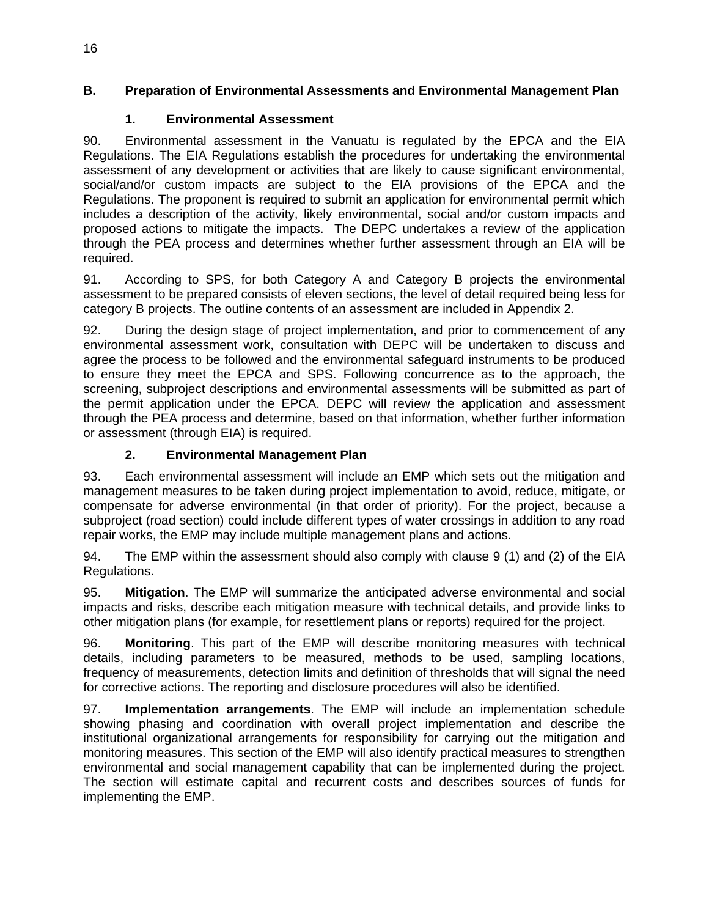### **B. Preparation of Environmental Assessments and Environmental Management Plan**

### **1. Environmental Assessment**

90. Environmental assessment in the Vanuatu is regulated by the EPCA and the EIA Regulations. The EIA Regulations establish the procedures for undertaking the environmental assessment of any development or activities that are likely to cause significant environmental, social/and/or custom impacts are subject to the EIA provisions of the EPCA and the Regulations. The proponent is required to submit an application for environmental permit which includes a description of the activity, likely environmental, social and/or custom impacts and proposed actions to mitigate the impacts. The DEPC undertakes a review of the application through the PEA process and determines whether further assessment through an EIA will be required.

91. According to SPS, for both Category A and Category B projects the environmental assessment to be prepared consists of eleven sections, the level of detail required being less for category B projects. The outline contents of an assessment are included in Appendix 2.

92. During the design stage of project implementation, and prior to commencement of any environmental assessment work, consultation with DEPC will be undertaken to discuss and agree the process to be followed and the environmental safeguard instruments to be produced to ensure they meet the EPCA and SPS. Following concurrence as to the approach, the screening, subproject descriptions and environmental assessments will be submitted as part of the permit application under the EPCA. DEPC will review the application and assessment through the PEA process and determine, based on that information, whether further information or assessment (through EIA) is required.

# **2. Environmental Management Plan**

93. Each environmental assessment will include an EMP which sets out the mitigation and management measures to be taken during project implementation to avoid, reduce, mitigate, or compensate for adverse environmental (in that order of priority). For the project, because a subproject (road section) could include different types of water crossings in addition to any road repair works, the EMP may include multiple management plans and actions.

94. The EMP within the assessment should also comply with clause 9 (1) and (2) of the EIA Regulations.

95. **Mitigation**. The EMP will summarize the anticipated adverse environmental and social impacts and risks, describe each mitigation measure with technical details, and provide links to other mitigation plans (for example, for resettlement plans or reports) required for the project.

96. **Monitoring**. This part of the EMP will describe monitoring measures with technical details, including parameters to be measured, methods to be used, sampling locations, frequency of measurements, detection limits and definition of thresholds that will signal the need for corrective actions. The reporting and disclosure procedures will also be identified.

97. **Implementation arrangements**. The EMP will include an implementation schedule showing phasing and coordination with overall project implementation and describe the institutional organizational arrangements for responsibility for carrying out the mitigation and monitoring measures. This section of the EMP will also identify practical measures to strengthen environmental and social management capability that can be implemented during the project. The section will estimate capital and recurrent costs and describes sources of funds for implementing the EMP.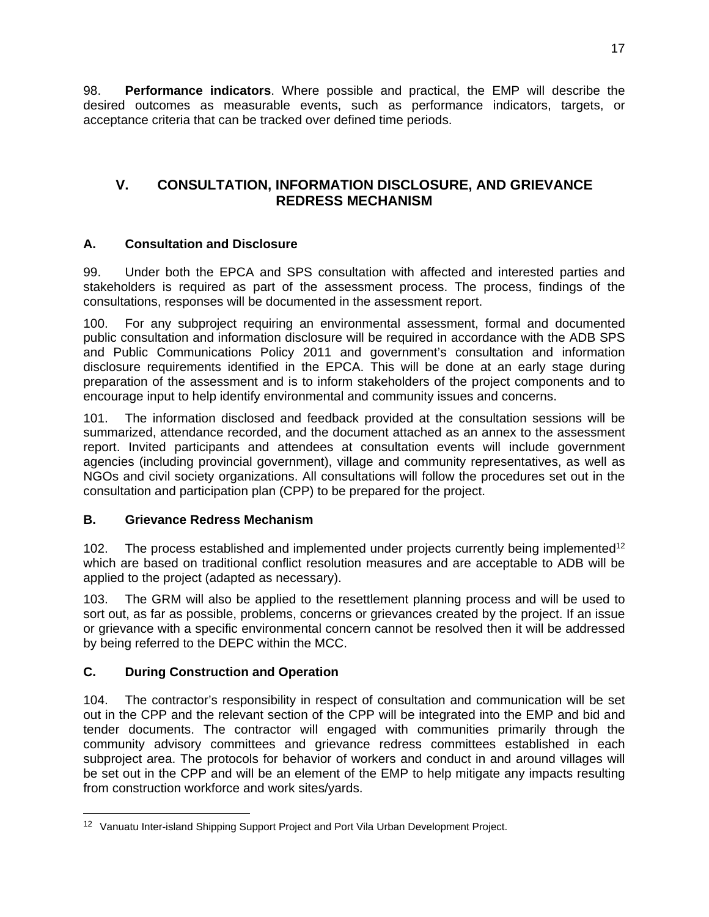98. **Performance indicators**. Where possible and practical, the EMP will describe the desired outcomes as measurable events, such as performance indicators, targets, or acceptance criteria that can be tracked over defined time periods.

# **V. CONSULTATION, INFORMATION DISCLOSURE, AND GRIEVANCE REDRESS MECHANISM**

### **A. Consultation and Disclosure**

99. Under both the EPCA and SPS consultation with affected and interested parties and stakeholders is required as part of the assessment process. The process, findings of the consultations, responses will be documented in the assessment report.

100. For any subproject requiring an environmental assessment, formal and documented public consultation and information disclosure will be required in accordance with the ADB SPS and Public Communications Policy 2011 and government's consultation and information disclosure requirements identified in the EPCA. This will be done at an early stage during preparation of the assessment and is to inform stakeholders of the project components and to encourage input to help identify environmental and community issues and concerns.

101. The information disclosed and feedback provided at the consultation sessions will be summarized, attendance recorded, and the document attached as an annex to the assessment report. Invited participants and attendees at consultation events will include government agencies (including provincial government), village and community representatives, as well as NGOs and civil society organizations. All consultations will follow the procedures set out in the consultation and participation plan (CPP) to be prepared for the project.

### **B. Grievance Redress Mechanism**

102. The process established and implemented under projects currently being implemented<sup>12</sup> which are based on traditional conflict resolution measures and are acceptable to ADB will be applied to the project (adapted as necessary).

103. The GRM will also be applied to the resettlement planning process and will be used to sort out, as far as possible, problems, concerns or grievances created by the project. If an issue or grievance with a specific environmental concern cannot be resolved then it will be addressed by being referred to the DEPC within the MCC.

# **C. During Construction and Operation**

 $\overline{a}$ 

104. The contractor's responsibility in respect of consultation and communication will be set out in the CPP and the relevant section of the CPP will be integrated into the EMP and bid and tender documents. The contractor will engaged with communities primarily through the community advisory committees and grievance redress committees established in each subproject area. The protocols for behavior of workers and conduct in and around villages will be set out in the CPP and will be an element of the EMP to help mitigate any impacts resulting from construction workforce and work sites/yards.

<sup>&</sup>lt;sup>12</sup> Vanuatu Inter-island Shipping Support Project and Port Vila Urban Development Project.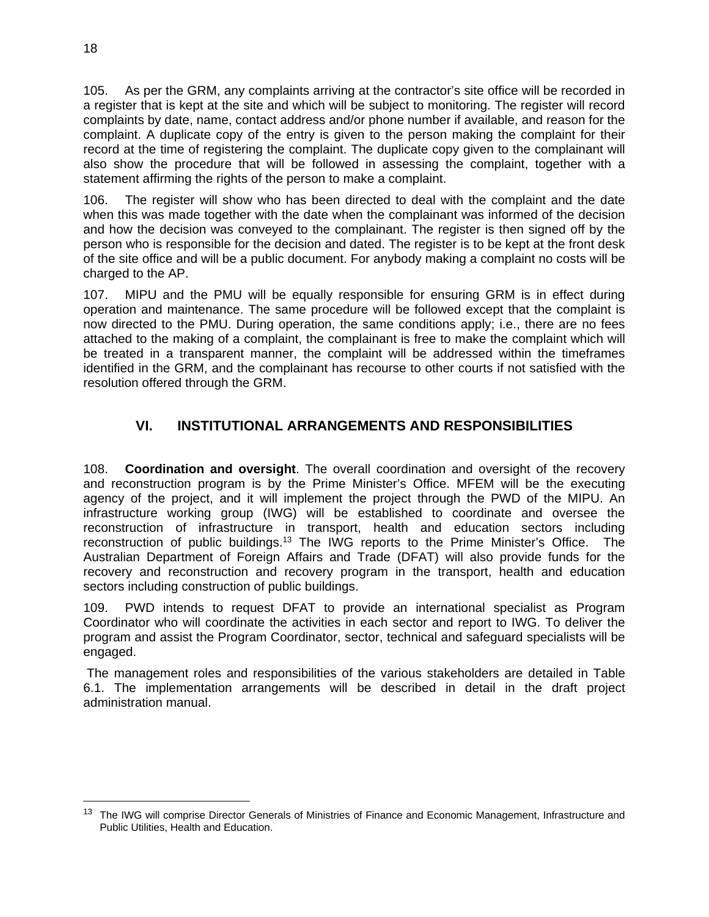105. As per the GRM, any complaints arriving at the contractor's site office will be recorded in a register that is kept at the site and which will be subject to monitoring. The register will record complaints by date, name, contact address and/or phone number if available, and reason for the complaint. A duplicate copy of the entry is given to the person making the complaint for their record at the time of registering the complaint. The duplicate copy given to the complainant will also show the procedure that will be followed in assessing the complaint, together with a statement affirming the rights of the person to make a complaint.

106. The register will show who has been directed to deal with the complaint and the date when this was made together with the date when the complainant was informed of the decision and how the decision was conveyed to the complainant. The register is then signed off by the person who is responsible for the decision and dated. The register is to be kept at the front desk of the site office and will be a public document. For anybody making a complaint no costs will be charged to the AP.

107. MIPU and the PMU will be equally responsible for ensuring GRM is in effect during operation and maintenance. The same procedure will be followed except that the complaint is now directed to the PMU. During operation, the same conditions apply; i.e., there are no fees attached to the making of a complaint, the complainant is free to make the complaint which will be treated in a transparent manner, the complaint will be addressed within the timeframes identified in the GRM, and the complainant has recourse to other courts if not satisfied with the resolution offered through the GRM.

# **VI. INSTITUTIONAL ARRANGEMENTS AND RESPONSIBILITIES**

108. **Coordination and oversight**. The overall coordination and oversight of the recovery and reconstruction program is by the Prime Minister's Office. MFEM will be the executing agency of the project, and it will implement the project through the PWD of the MIPU. An infrastructure working group (IWG) will be established to coordinate and oversee the reconstruction of infrastructure in transport, health and education sectors including reconstruction of public buildings.13 The IWG reports to the Prime Minister's Office. The Australian Department of Foreign Affairs and Trade (DFAT) will also provide funds for the recovery and reconstruction and recovery program in the transport, health and education sectors including construction of public buildings.

109. PWD intends to request DFAT to provide an international specialist as Program Coordinator who will coordinate the activities in each sector and report to IWG. To deliver the program and assist the Program Coordinator, sector, technical and safeguard specialists will be engaged.

 The management roles and responsibilities of the various stakeholders are detailed in Table 6.1. The implementation arrangements will be described in detail in the draft project administration manual.

<sup>&</sup>lt;sup>13</sup> The IWG will comprise Director Generals of Ministries of Finance and Economic Management, Infrastructure and Public Utilities, Health and Education.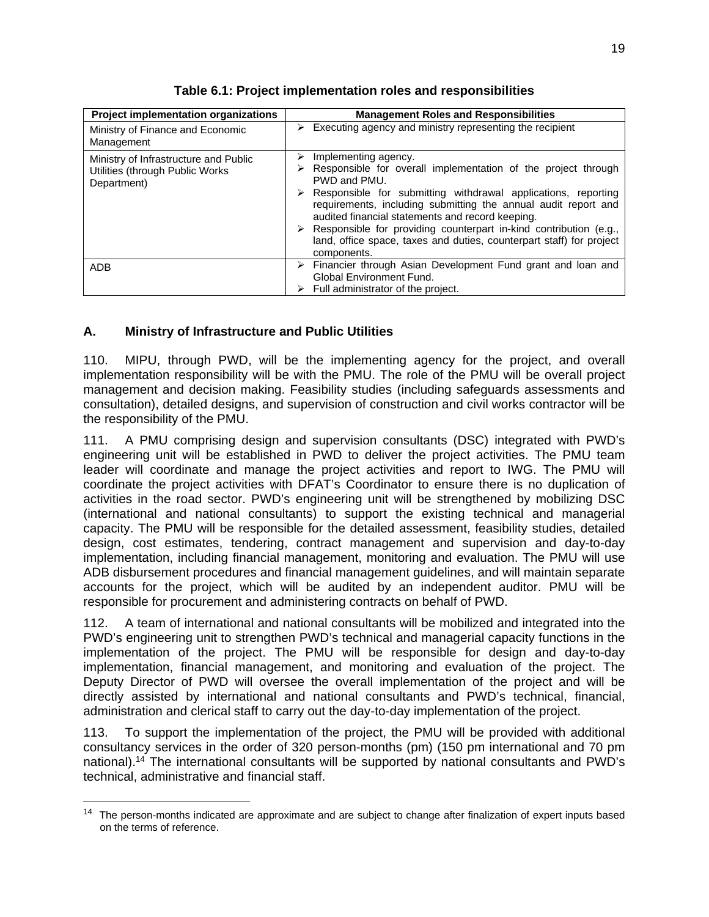| <b>Project implementation organizations</b>                                              | <b>Management Roles and Responsibilities</b>                                                                                                                                                                                                                                                                                                                                                                                                                                                    |
|------------------------------------------------------------------------------------------|-------------------------------------------------------------------------------------------------------------------------------------------------------------------------------------------------------------------------------------------------------------------------------------------------------------------------------------------------------------------------------------------------------------------------------------------------------------------------------------------------|
| Ministry of Finance and Economic<br>Management                                           | $\triangleright$ Executing agency and ministry representing the recipient                                                                                                                                                                                                                                                                                                                                                                                                                       |
| Ministry of Infrastructure and Public<br>Utilities (through Public Works)<br>Department) | Implementing agency.<br>➤<br>Responsible for overall implementation of the project through<br>PWD and PMU.<br>$\triangleright$ Responsible for submitting withdrawal applications, reporting<br>requirements, including submitting the annual audit report and<br>audited financial statements and record keeping.<br>$\triangleright$ Responsible for providing counterpart in-kind contribution (e.g.,<br>land, office space, taxes and duties, counterpart staff) for project<br>components. |
| <b>ADB</b>                                                                               | $\triangleright$ Financier through Asian Development Fund grant and loan and<br>Global Environment Fund.<br>$\triangleright$ Full administrator of the project.                                                                                                                                                                                                                                                                                                                                 |

**Table 6.1: Project implementation roles and responsibilities** 

### **A. Ministry of Infrastructure and Public Utilities**

110. MIPU, through PWD, will be the implementing agency for the project, and overall implementation responsibility will be with the PMU. The role of the PMU will be overall project management and decision making. Feasibility studies (including safeguards assessments and consultation), detailed designs, and supervision of construction and civil works contractor will be the responsibility of the PMU.

111. A PMU comprising design and supervision consultants (DSC) integrated with PWD's engineering unit will be established in PWD to deliver the project activities. The PMU team leader will coordinate and manage the project activities and report to IWG. The PMU will coordinate the project activities with DFAT's Coordinator to ensure there is no duplication of activities in the road sector. PWD's engineering unit will be strengthened by mobilizing DSC (international and national consultants) to support the existing technical and managerial capacity. The PMU will be responsible for the detailed assessment, feasibility studies, detailed design, cost estimates, tendering, contract management and supervision and day-to-day implementation, including financial management, monitoring and evaluation. The PMU will use ADB disbursement procedures and financial management guidelines, and will maintain separate accounts for the project, which will be audited by an independent auditor. PMU will be responsible for procurement and administering contracts on behalf of PWD.

112. A team of international and national consultants will be mobilized and integrated into the PWD's engineering unit to strengthen PWD's technical and managerial capacity functions in the implementation of the project. The PMU will be responsible for design and day-to-day implementation, financial management, and monitoring and evaluation of the project. The Deputy Director of PWD will oversee the overall implementation of the project and will be directly assisted by international and national consultants and PWD's technical, financial, administration and clerical staff to carry out the day-to-day implementation of the project.

113. To support the implementation of the project, the PMU will be provided with additional consultancy services in the order of 320 person-months (pm) (150 pm international and 70 pm national).14 The international consultants will be supported by national consultants and PWD's technical, administrative and financial staff.

<sup>&</sup>lt;sup>14</sup> The person-months indicated are approximate and are subject to change after finalization of expert inputs based on the terms of reference.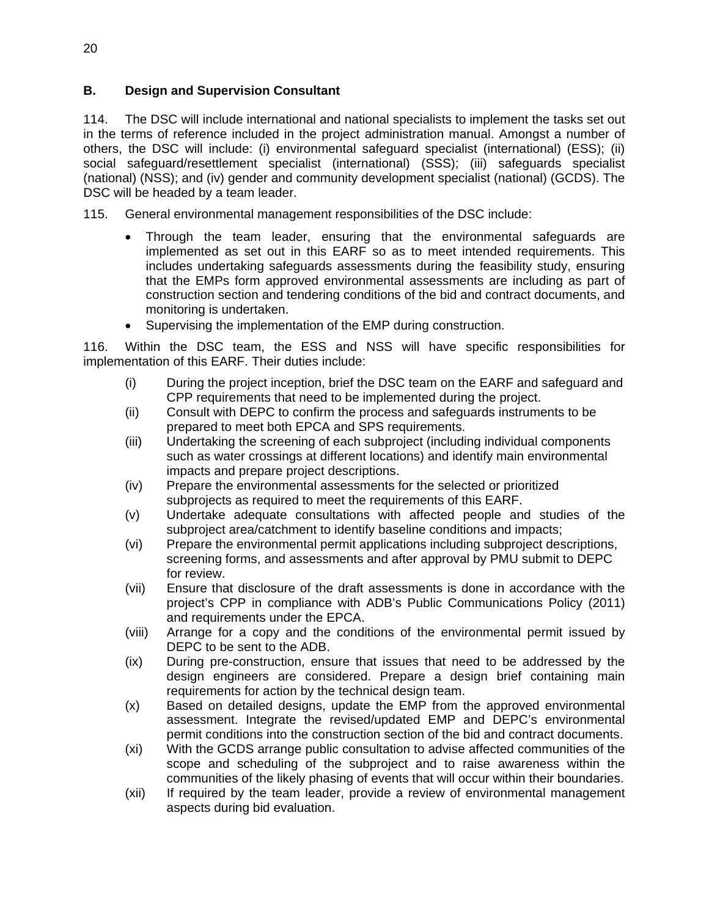### **B. Design and Supervision Consultant**

114. The DSC will include international and national specialists to implement the tasks set out in the terms of reference included in the project administration manual. Amongst a number of others, the DSC will include: (i) environmental safeguard specialist (international) (ESS); (ii) social safeguard/resettlement specialist (international) (SSS); (iii) safeguards specialist (national) (NSS); and (iv) gender and community development specialist (national) (GCDS). The DSC will be headed by a team leader.

115. General environmental management responsibilities of the DSC include:

- Through the team leader, ensuring that the environmental safeguards are implemented as set out in this EARF so as to meet intended requirements. This includes undertaking safeguards assessments during the feasibility study, ensuring that the EMPs form approved environmental assessments are including as part of construction section and tendering conditions of the bid and contract documents, and monitoring is undertaken.
- Supervising the implementation of the EMP during construction.

116. Within the DSC team, the ESS and NSS will have specific responsibilities for implementation of this EARF. Their duties include:

- (i) During the project inception, brief the DSC team on the EARF and safeguard and CPP requirements that need to be implemented during the project.
- (ii) Consult with DEPC to confirm the process and safeguards instruments to be prepared to meet both EPCA and SPS requirements.
- (iii) Undertaking the screening of each subproject (including individual components such as water crossings at different locations) and identify main environmental impacts and prepare project descriptions.
- (iv) Prepare the environmental assessments for the selected or prioritized subprojects as required to meet the requirements of this EARF.
- (v) Undertake adequate consultations with affected people and studies of the subproject area/catchment to identify baseline conditions and impacts;
- (vi) Prepare the environmental permit applications including subproject descriptions, screening forms, and assessments and after approval by PMU submit to DEPC for review.
- (vii) Ensure that disclosure of the draft assessments is done in accordance with the project's CPP in compliance with ADB's Public Communications Policy (2011) and requirements under the EPCA.
- (viii) Arrange for a copy and the conditions of the environmental permit issued by DEPC to be sent to the ADB.
- (ix) During pre-construction, ensure that issues that need to be addressed by the design engineers are considered. Prepare a design brief containing main requirements for action by the technical design team.
- (x) Based on detailed designs, update the EMP from the approved environmental assessment. Integrate the revised/updated EMP and DEPC's environmental permit conditions into the construction section of the bid and contract documents.
- (xi) With the GCDS arrange public consultation to advise affected communities of the scope and scheduling of the subproject and to raise awareness within the communities of the likely phasing of events that will occur within their boundaries.
- (xii) If required by the team leader, provide a review of environmental management aspects during bid evaluation.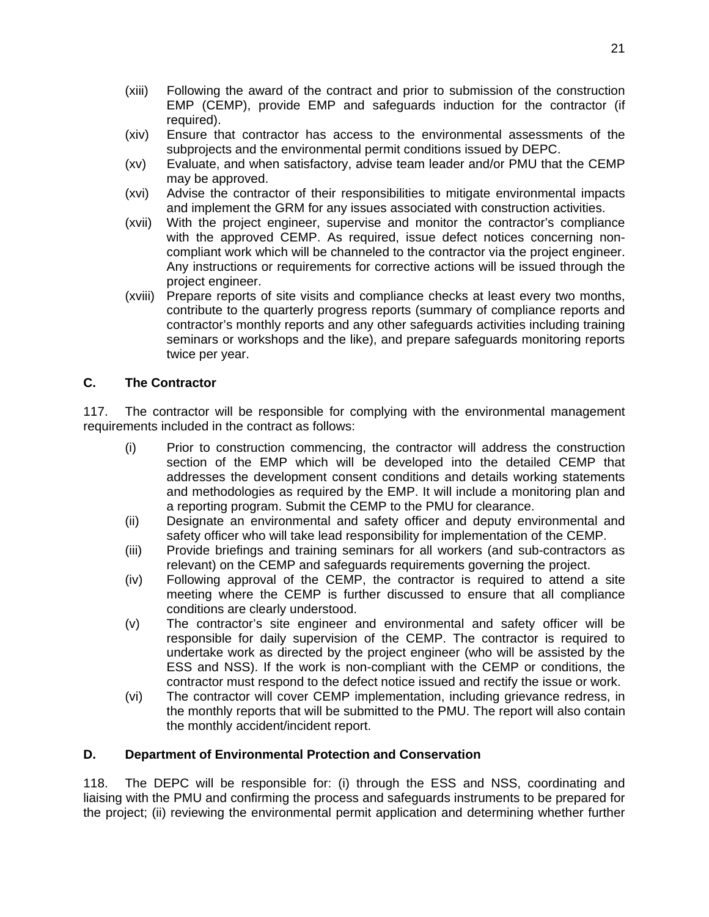- (xiii) Following the award of the contract and prior to submission of the construction EMP (CEMP), provide EMP and safeguards induction for the contractor (if required).
- (xiv) Ensure that contractor has access to the environmental assessments of the subprojects and the environmental permit conditions issued by DEPC.
- (xv) Evaluate, and when satisfactory, advise team leader and/or PMU that the CEMP may be approved.
- (xvi) Advise the contractor of their responsibilities to mitigate environmental impacts and implement the GRM for any issues associated with construction activities.
- (xvii) With the project engineer, supervise and monitor the contractor's compliance with the approved CEMP. As required, issue defect notices concerning noncompliant work which will be channeled to the contractor via the project engineer. Any instructions or requirements for corrective actions will be issued through the project engineer.
- (xviii) Prepare reports of site visits and compliance checks at least every two months, contribute to the quarterly progress reports (summary of compliance reports and contractor's monthly reports and any other safeguards activities including training seminars or workshops and the like), and prepare safeguards monitoring reports twice per year.

#### **C. The Contractor**

117. The contractor will be responsible for complying with the environmental management requirements included in the contract as follows:

- (i) Prior to construction commencing, the contractor will address the construction section of the EMP which will be developed into the detailed CEMP that addresses the development consent conditions and details working statements and methodologies as required by the EMP. It will include a monitoring plan and a reporting program. Submit the CEMP to the PMU for clearance.
- (ii) Designate an environmental and safety officer and deputy environmental and safety officer who will take lead responsibility for implementation of the CEMP.
- (iii) Provide briefings and training seminars for all workers (and sub-contractors as relevant) on the CEMP and safeguards requirements governing the project.
- (iv) Following approval of the CEMP, the contractor is required to attend a site meeting where the CEMP is further discussed to ensure that all compliance conditions are clearly understood.
- (v) The contractor's site engineer and environmental and safety officer will be responsible for daily supervision of the CEMP. The contractor is required to undertake work as directed by the project engineer (who will be assisted by the ESS and NSS). If the work is non-compliant with the CEMP or conditions, the contractor must respond to the defect notice issued and rectify the issue or work.
- (vi) The contractor will cover CEMP implementation, including grievance redress, in the monthly reports that will be submitted to the PMU. The report will also contain the monthly accident/incident report.

#### **D. Department of Environmental Protection and Conservation**

118. The DEPC will be responsible for: (i) through the ESS and NSS, coordinating and liaising with the PMU and confirming the process and safeguards instruments to be prepared for the project; (ii) reviewing the environmental permit application and determining whether further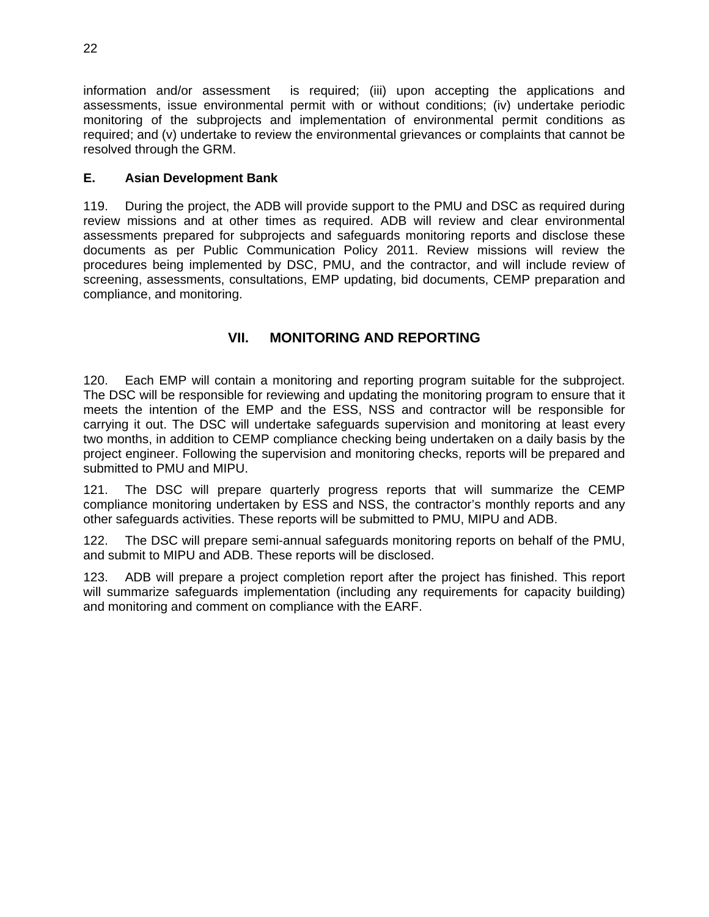information and/or assessment is required; (iii) upon accepting the applications and assessments, issue environmental permit with or without conditions; (iv) undertake periodic monitoring of the subprojects and implementation of environmental permit conditions as required; and (v) undertake to review the environmental grievances or complaints that cannot be resolved through the GRM.

### **E. Asian Development Bank**

119. During the project, the ADB will provide support to the PMU and DSC as required during review missions and at other times as required. ADB will review and clear environmental assessments prepared for subprojects and safeguards monitoring reports and disclose these documents as per Public Communication Policy 2011. Review missions will review the procedures being implemented by DSC, PMU, and the contractor, and will include review of screening, assessments, consultations, EMP updating, bid documents, CEMP preparation and compliance, and monitoring.

# **VII. MONITORING AND REPORTING**

120. Each EMP will contain a monitoring and reporting program suitable for the subproject. The DSC will be responsible for reviewing and updating the monitoring program to ensure that it meets the intention of the EMP and the ESS, NSS and contractor will be responsible for carrying it out. The DSC will undertake safeguards supervision and monitoring at least every two months, in addition to CEMP compliance checking being undertaken on a daily basis by the project engineer. Following the supervision and monitoring checks, reports will be prepared and submitted to PMU and MIPU.

121. The DSC will prepare quarterly progress reports that will summarize the CEMP compliance monitoring undertaken by ESS and NSS, the contractor's monthly reports and any other safeguards activities. These reports will be submitted to PMU, MIPU and ADB.

122. The DSC will prepare semi-annual safeguards monitoring reports on behalf of the PMU, and submit to MIPU and ADB. These reports will be disclosed.

123. ADB will prepare a project completion report after the project has finished. This report will summarize safeguards implementation (including any requirements for capacity building) and monitoring and comment on compliance with the EARF.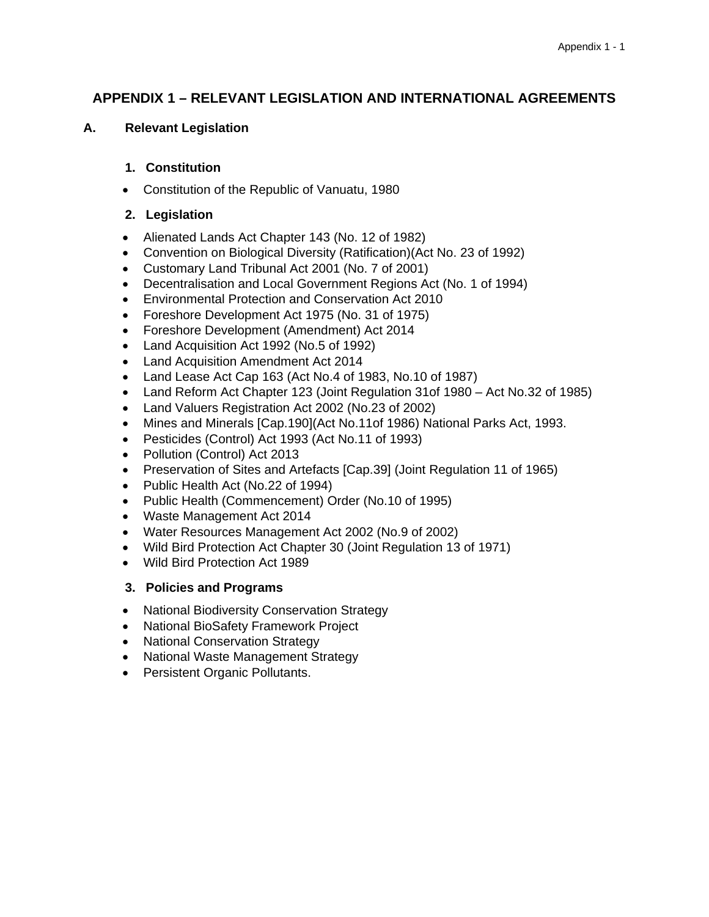### **APPENDIX 1 – RELEVANT LEGISLATION AND INTERNATIONAL AGREEMENTS**

**A. Relevant Legislation** 

#### **1. Constitution**

Constitution of the Republic of Vanuatu, 1980

#### **2. Legislation**

- Alienated Lands Act Chapter 143 (No. 12 of 1982)
- Convention on Biological Diversity (Ratification)(Act No. 23 of 1992)
- Customary Land Tribunal Act 2001 (No. 7 of 2001)
- Decentralisation and Local Government Regions Act (No. 1 of 1994)
- Environmental Protection and Conservation Act 2010
- Foreshore Development Act 1975 (No. 31 of 1975)
- Foreshore Development (Amendment) Act 2014
- Land Acquisition Act 1992 (No.5 of 1992)
- Land Acquisition Amendment Act 2014
- Land Lease Act Cap 163 (Act No.4 of 1983, No.10 of 1987)
- Land Reform Act Chapter 123 (Joint Regulation 31of 1980 Act No.32 of 1985)
- Land Valuers Registration Act 2002 (No.23 of 2002)
- Mines and Minerals [Cap.190](Act No.11of 1986) National Parks Act, 1993.
- Pesticides (Control) Act 1993 (Act No.11 of 1993)
- Pollution (Control) Act 2013
- Preservation of Sites and Artefacts [Cap.39] (Joint Regulation 11 of 1965)
- Public Health Act (No.22 of 1994)
- Public Health (Commencement) Order (No.10 of 1995)
- Waste Management Act 2014
- Water Resources Management Act 2002 (No.9 of 2002)
- Wild Bird Protection Act Chapter 30 (Joint Regulation 13 of 1971)
- Wild Bird Protection Act 1989

#### **3. Policies and Programs**

- National Biodiversity Conservation Strategy
- National BioSafety Framework Project
- National Conservation Strategy
- National Waste Management Strategy
- Persistent Organic Pollutants.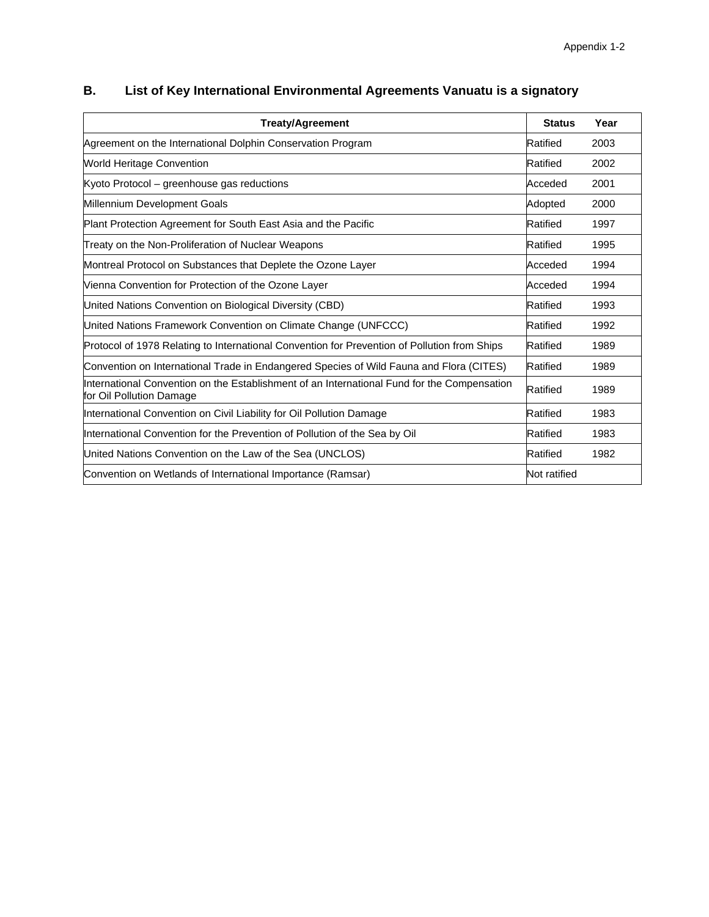| <b>Treaty/Agreement</b>                                                                                                 | <b>Status</b> | Year |
|-------------------------------------------------------------------------------------------------------------------------|---------------|------|
| Agreement on the International Dolphin Conservation Program                                                             | Ratified      | 2003 |
| <b>World Heritage Convention</b>                                                                                        | Ratified      | 2002 |
| Kyoto Protocol - greenhouse gas reductions                                                                              | Acceded       | 2001 |
| Millennium Development Goals                                                                                            | Adopted       | 2000 |
| Plant Protection Agreement for South East Asia and the Pacific                                                          | Ratified      | 1997 |
| Treaty on the Non-Proliferation of Nuclear Weapons                                                                      | Ratified      | 1995 |
| Montreal Protocol on Substances that Deplete the Ozone Layer                                                            | Acceded       | 1994 |
| Vienna Convention for Protection of the Ozone Layer                                                                     | Acceded       | 1994 |
| United Nations Convention on Biological Diversity (CBD)                                                                 | Ratified      | 1993 |
| United Nations Framework Convention on Climate Change (UNFCCC)                                                          | Ratified      | 1992 |
| Protocol of 1978 Relating to International Convention for Prevention of Pollution from Ships                            | Ratified      | 1989 |
| Convention on International Trade in Endangered Species of Wild Fauna and Flora (CITES)                                 | Ratified      | 1989 |
| International Convention on the Establishment of an International Fund for the Compensation<br>for Oil Pollution Damage | Ratified      | 1989 |
| International Convention on Civil Liability for Oil Pollution Damage                                                    | Ratified      | 1983 |
| International Convention for the Prevention of Pollution of the Sea by Oil                                              | Ratified      | 1983 |
| United Nations Convention on the Law of the Sea (UNCLOS)                                                                | Ratified      | 1982 |
| Convention on Wetlands of International Importance (Ramsar)                                                             | Not ratified  |      |

# **B. List of Key International Environmental Agreements Vanuatu is a signatory**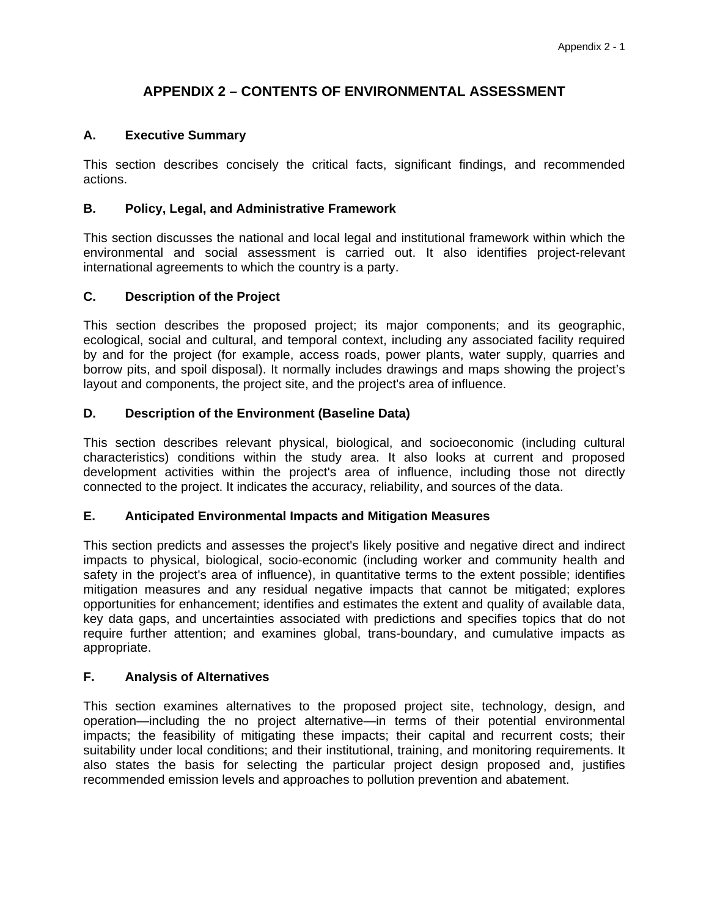# **APPENDIX 2 – CONTENTS OF ENVIRONMENTAL ASSESSMENT**

#### **A. Executive Summary**

This section describes concisely the critical facts, significant findings, and recommended actions.

#### **B. Policy, Legal, and Administrative Framework**

This section discusses the national and local legal and institutional framework within which the environmental and social assessment is carried out. It also identifies project-relevant international agreements to which the country is a party.

#### **C. Description of the Project**

This section describes the proposed project; its major components; and its geographic, ecological, social and cultural, and temporal context, including any associated facility required by and for the project (for example, access roads, power plants, water supply, quarries and borrow pits, and spoil disposal). It normally includes drawings and maps showing the project's layout and components, the project site, and the project's area of influence.

#### **D. Description of the Environment (Baseline Data)**

This section describes relevant physical, biological, and socioeconomic (including cultural characteristics) conditions within the study area. It also looks at current and proposed development activities within the project's area of influence, including those not directly connected to the project. It indicates the accuracy, reliability, and sources of the data.

#### **E. Anticipated Environmental Impacts and Mitigation Measures**

This section predicts and assesses the project's likely positive and negative direct and indirect impacts to physical, biological, socio-economic (including worker and community health and safety in the project's area of influence), in quantitative terms to the extent possible; identifies mitigation measures and any residual negative impacts that cannot be mitigated; explores opportunities for enhancement; identifies and estimates the extent and quality of available data, key data gaps, and uncertainties associated with predictions and specifies topics that do not require further attention; and examines global, trans-boundary, and cumulative impacts as appropriate.

#### **F. Analysis of Alternatives**

This section examines alternatives to the proposed project site, technology, design, and operation—including the no project alternative—in terms of their potential environmental impacts; the feasibility of mitigating these impacts; their capital and recurrent costs; their suitability under local conditions; and their institutional, training, and monitoring requirements. It also states the basis for selecting the particular project design proposed and, justifies recommended emission levels and approaches to pollution prevention and abatement.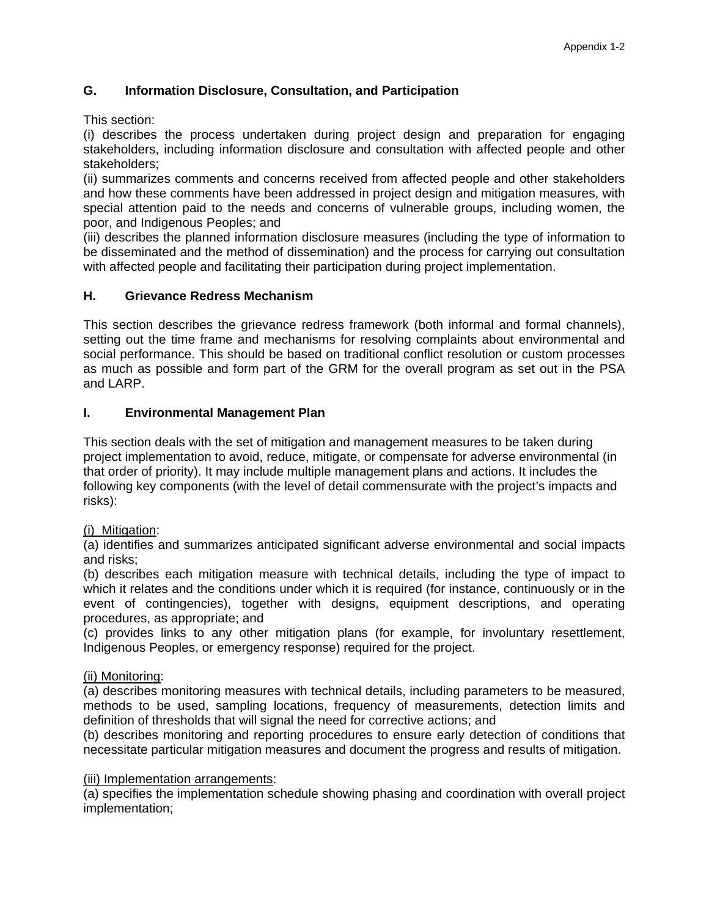### **G. Information Disclosure, Consultation, and Participation**

This section:

(i) describes the process undertaken during project design and preparation for engaging stakeholders, including information disclosure and consultation with affected people and other stakeholders;

(ii) summarizes comments and concerns received from affected people and other stakeholders and how these comments have been addressed in project design and mitigation measures, with special attention paid to the needs and concerns of vulnerable groups, including women, the poor, and Indigenous Peoples; and

(iii) describes the planned information disclosure measures (including the type of information to be disseminated and the method of dissemination) and the process for carrying out consultation with affected people and facilitating their participation during project implementation.

#### **H. Grievance Redress Mechanism**

This section describes the grievance redress framework (both informal and formal channels), setting out the time frame and mechanisms for resolving complaints about environmental and social performance. This should be based on traditional conflict resolution or custom processes as much as possible and form part of the GRM for the overall program as set out in the PSA and LARP.

#### **I. Environmental Management Plan**

This section deals with the set of mitigation and management measures to be taken during project implementation to avoid, reduce, mitigate, or compensate for adverse environmental (in that order of priority). It may include multiple management plans and actions. It includes the following key components (with the level of detail commensurate with the project's impacts and risks):

#### (i) Mitigation:

(a) identifies and summarizes anticipated significant adverse environmental and social impacts and risks;

(b) describes each mitigation measure with technical details, including the type of impact to which it relates and the conditions under which it is required (for instance, continuously or in the event of contingencies), together with designs, equipment descriptions, and operating procedures, as appropriate; and

(c) provides links to any other mitigation plans (for example, for involuntary resettlement, Indigenous Peoples, or emergency response) required for the project.

#### (ii) Monitoring:

(a) describes monitoring measures with technical details, including parameters to be measured, methods to be used, sampling locations, frequency of measurements, detection limits and definition of thresholds that will signal the need for corrective actions; and

(b) describes monitoring and reporting procedures to ensure early detection of conditions that necessitate particular mitigation measures and document the progress and results of mitigation.

#### (iii) Implementation arrangements:

(a) specifies the implementation schedule showing phasing and coordination with overall project implementation;